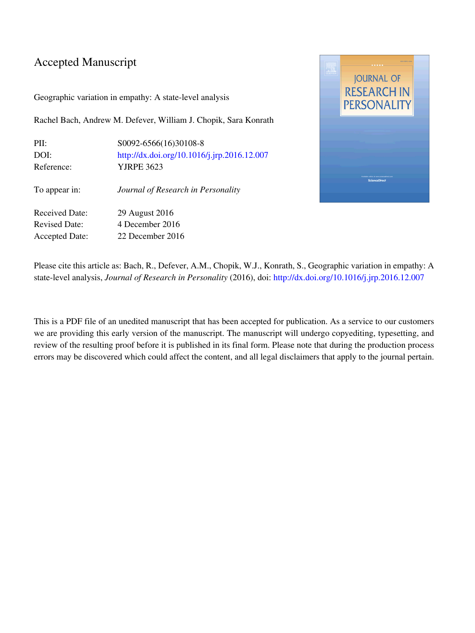#### Accepted Manuscript

Geographic variation in empathy: A state-level analysis

Rachel Bach, Andrew M. Defever, William J. Chopik, Sara Konrath

| S0092-6566(16)30108-8                       |
|---------------------------------------------|
| http://dx.doi.org/10.1016/j.jrp.2016.12.007 |
| <b>YJRPE 3623</b>                           |
| Journal of Research in Personality          |
| 29 August 2016                              |
| 4 December 2016                             |
| 22 December 2016                            |
|                                             |



Please cite this article as: Bach, R., Defever, A.M., Chopik, W.J., Konrath, S., Geographic variation in empathy: A state-level analysis, Journal of Research in Personality (2016), doi: <http://dx.doi.org/10.1016/j.jrp.2016.12.007>

This is a PDF file of an unedited manuscript that has been accepted for publication. As a service to our customers we are providing this early version of the manuscript. The manuscript will undergo copyediting, typesetting, and review of the resulting proof before it is published in its final form. Please note that during the production process errors may be discovered which could affect the content, and all legal disclaimers that apply to the journal pertain.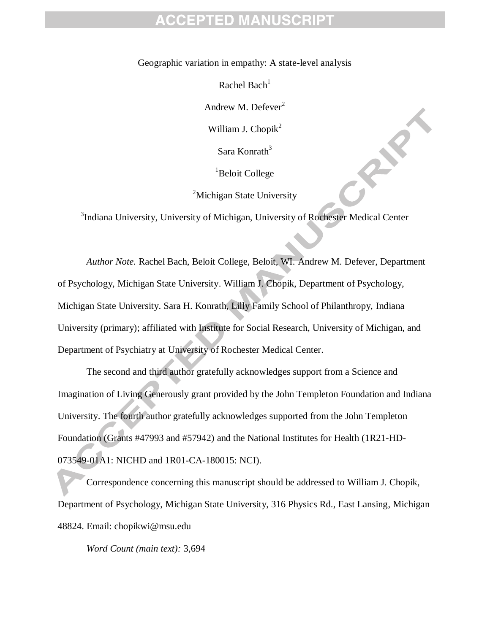Geographic variation in empathy: A state-level analysis

Rachel Bach $<sup>1</sup>$ </sup>

Andrew M. Defever<sup>2</sup>

William J. Chopik $<sup>2</sup>$ </sup>

Sara Konrath $3$ 

<sup>1</sup>Beloit College

<sup>2</sup>Michigan State University

<sup>3</sup>Indiana University, University of Michigan, University of Rochester Medical Center

*Author Note.* Rachel Bach, Beloit College, Beloit, WI. Andrew M. Defever, Department of Psychology, Michigan State University. William J. Chopik, Department of Psychology, Michigan State University. Sara H. Konrath, Lilly Family School of Philanthropy, Indiana University (primary); affiliated with Institute for Social Research, University of Michigan, and Department of Psychiatry at University of Rochester Medical Center.

The second and third author gratefully acknowledges support from a Science and Imagination of Living Generously grant provided by the John Templeton Foundation and Indiana University. The fourth author gratefully acknowledges supported from the John Templeton Foundation (Grants #47993 and #57942) and the National Institutes for Health (1R21-HD-073549-01A1: NICHD and 1R01-CA-180015: NCI).

Correspondence concerning this manuscript should be addressed to William J. Chopik, Department of Psychology, Michigan State University, 316 Physics Rd., East Lansing, Michigan 48824. Email: chopikwi@msu.edu

*Word Count (main text):* 3,694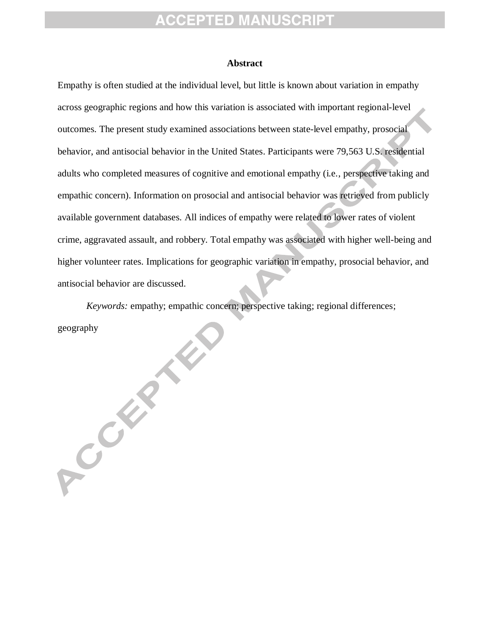#### **Abstract**

Empathy is often studied at the individual level, but little is known about variation in empathy across geographic regions and how this variation is associated with important regional-level outcomes. The present study examined associations between state-level empathy, prosocial behavior, and antisocial behavior in the United States. Participants were 79,563 U.S. residential adults who completed measures of cognitive and emotional empathy (i.e., perspective taking and empathic concern). Information on prosocial and antisocial behavior was retrieved from publicly available government databases. All indices of empathy were related to lower rates of violent crime, aggravated assault, and robbery. Total empathy was associated with higher well-being and higher volunteer rates. Implications for geographic variation in empathy, prosocial behavior, and antisocial behavior are discussed.

*Keywords:* empathy; empathic concern; perspective taking; regional differences; geography

PCCCER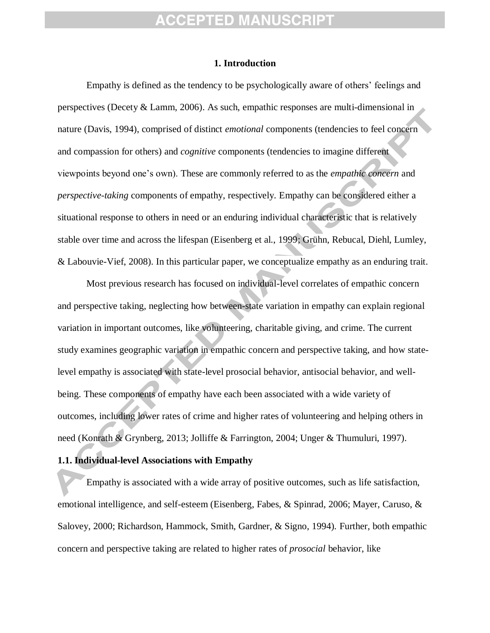#### **1. Introduction**

Empathy is defined as the tendency to be psychologically aware of others' feelings and perspectives (Decety & Lamm, 2006). As such, empathic responses are multi-dimensional in nature (Davis, 1994), comprised of distinct *emotional* components (tendencies to feel concern and compassion for others) and *cognitive* components (tendencies to imagine different viewpoints beyond one's own). These are commonly referred to as the *empathic concern* and *perspective-taking* components of empathy, respectively. Empathy can be considered either a situational response to others in need or an enduring individual characteristic that is relatively stable over time and across the lifespan (Eisenberg et al., 1999; Grühn, Rebucal, Diehl, Lumley, & Labouvie-Vief, 2008). In this particular paper, we conceptualize empathy as an enduring trait.

Most previous research has focused on individual-level correlates of empathic concern and perspective taking, neglecting how between-state variation in empathy can explain regional variation in important outcomes, like volunteering, charitable giving, and crime. The current study examines geographic variation in empathic concern and perspective taking, and how statelevel empathy is associated with state-level prosocial behavior, antisocial behavior, and wellbeing. These components of empathy have each been associated with a wide variety of outcomes, including lower rates of crime and higher rates of volunteering and helping others in need (Konrath & Grynberg, 2013; Jolliffe & Farrington, 2004; Unger & Thumuluri, 1997).

#### **1.1. Individual-level Associations with Empathy**

Empathy is associated with a wide array of positive outcomes, such as life satisfaction, emotional intelligence, and self-esteem (Eisenberg, Fabes, & Spinrad, 2006; Mayer, Caruso, & Salovey, 2000; Richardson, Hammock, Smith, Gardner, & Signo, 1994). Further, both empathic concern and perspective taking are related to higher rates of *prosocial* behavior, like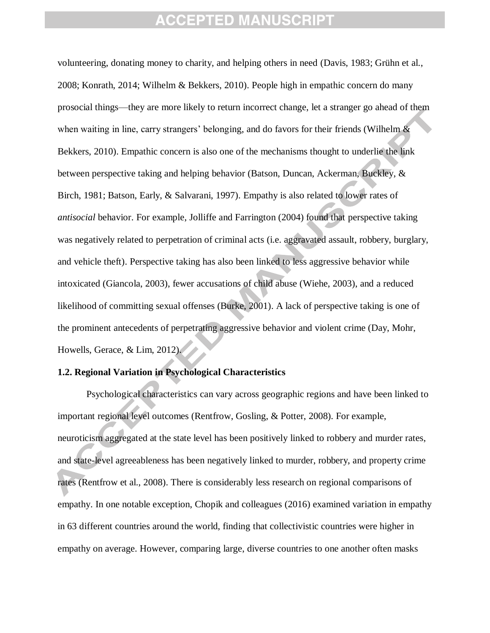volunteering, donating money to charity, and helping others in need (Davis, 1983; Grühn et al., 2008; Konrath, 2014; Wilhelm & Bekkers, 2010). People high in empathic concern do many prosocial things—they are more likely to return incorrect change, let a stranger go ahead of them when waiting in line, carry strangers' belonging, and do favors for their friends (Wilhelm  $\&$ Bekkers, 2010). Empathic concern is also one of the mechanisms thought to underlie the link between perspective taking and helping behavior (Batson, Duncan, Ackerman, Buckley, & Birch, 1981; Batson, Early, & Salvarani, 1997). Empathy is also related to lower rates of *antisocial* behavior. For example, Jolliffe and Farrington (2004) found that perspective taking was negatively related to perpetration of criminal acts (i.e. aggravated assault, robbery, burglary, and vehicle theft). Perspective taking has also been linked to less aggressive behavior while intoxicated (Giancola, 2003), fewer accusations of child abuse (Wiehe, 2003), and a reduced likelihood of committing sexual offenses (Burke, 2001). A lack of perspective taking is one of the prominent antecedents of perpetrating aggressive behavior and violent crime (Day, Mohr, Howells, Gerace, & Lim, 2012).

#### **1.2. Regional Variation in Psychological Characteristics**

Psychological characteristics can vary across geographic regions and have been linked to important regional level outcomes (Rentfrow, Gosling, & Potter, 2008). For example, neuroticism aggregated at the state level has been positively linked to robbery and murder rates, and state-level agreeableness has been negatively linked to murder, robbery, and property crime rates (Rentfrow et al., 2008). There is considerably less research on regional comparisons of empathy. In one notable exception, Chopik and colleagues (2016) examined variation in empathy in 63 different countries around the world, finding that collectivistic countries were higher in empathy on average. However, comparing large, diverse countries to one another often masks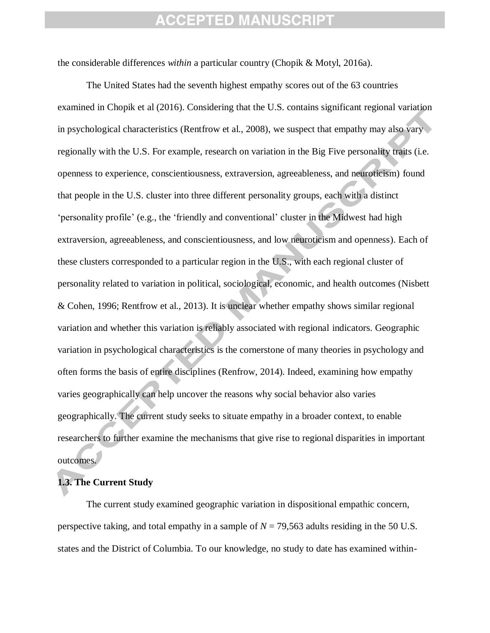the considerable differences *within* a particular country (Chopik & Motyl, 2016a).

The United States had the seventh highest empathy scores out of the 63 countries examined in Chopik et al (2016). Considering that the U.S. contains significant regional variation in psychological characteristics (Rentfrow et al., 2008), we suspect that empathy may also vary regionally with the U.S. For example, research on variation in the Big Five personality traits (i.e. openness to experience, conscientiousness, extraversion, agreeableness, and neuroticism) found that people in the U.S. cluster into three different personality groups, each with a distinct 'personality profile' (e.g., the 'friendly and conventional' cluster in the Midwest had high extraversion, agreeableness, and conscientiousness, and low neuroticism and openness). Each of these clusters corresponded to a particular region in the U.S., with each regional cluster of personality related to variation in political, sociological, economic, and health outcomes (Nisbett & Cohen, 1996; Rentfrow et al., 2013). It is unclear whether empathy shows similar regional variation and whether this variation is reliably associated with regional indicators. Geographic variation in psychological characteristics is the cornerstone of many theories in psychology and often forms the basis of entire disciplines (Renfrow, 2014). Indeed, examining how empathy varies geographically can help uncover the reasons why social behavior also varies geographically. The current study seeks to situate empathy in a broader context, to enable researchers to further examine the mechanisms that give rise to regional disparities in important outcomes.

#### **1.3. The Current Study**

The current study examined geographic variation in dispositional empathic concern, perspective taking, and total empathy in a sample of *N* = 79,563 adults residing in the 50 U.S. states and the District of Columbia. To our knowledge, no study to date has examined within-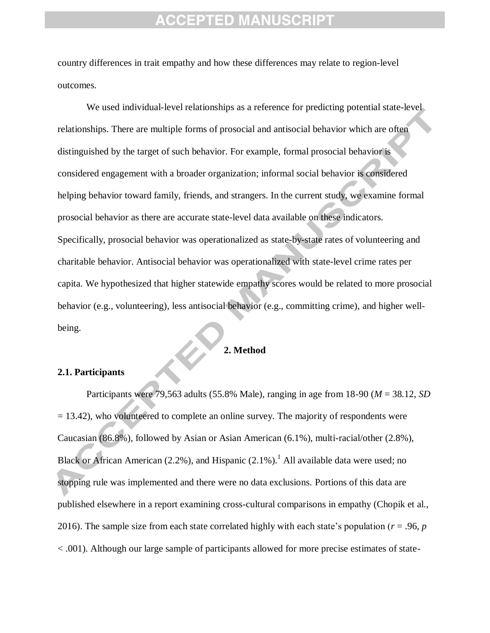country differences in trait empathy and how these differences may relate to region-level outcomes.

We used individual-level relationships as a reference for predicting potential state-level relationships. There are multiple forms of prosocial and antisocial behavior which are often distinguished by the target of such behavior. For example, formal prosocial behavior is considered engagement with a broader organization; informal social behavior is considered helping behavior toward family, friends, and strangers. In the current study, we examine formal prosocial behavior as there are accurate state-level data available on these indicators. Specifically, prosocial behavior was operationalized as state-by-state rates of volunteering and charitable behavior. Antisocial behavior was operationalized with state-level crime rates per capita. We hypothesized that higher statewide empathy scores would be related to more prosocial behavior (e.g., volunteering), less antisocial behavior (e.g., committing crime), and higher wellbeing.

#### **2. Method**

#### **2.1. Participants**

Participants were 79,563 adults (55.8% Male), ranging in age from 18-90 (*M* = 38.12, *SD*   $= 13.42$ ), who volunteered to complete an online survey. The majority of respondents were Caucasian (86.8%), followed by Asian or Asian American (6.1%), multi-racial/other (2.8%), Black or African American (2.2%), and Hispanic (2.1%).<sup>1</sup> All available data were used; no stopping rule was implemented and there were no data exclusions. Portions of this data are published elsewhere in a report examining cross-cultural comparisons in empathy (Chopik et al., 2016). The sample size from each state correlated highly with each state's population (*r* = .96, *p* < .001). Although our large sample of participants allowed for more precise estimates of state-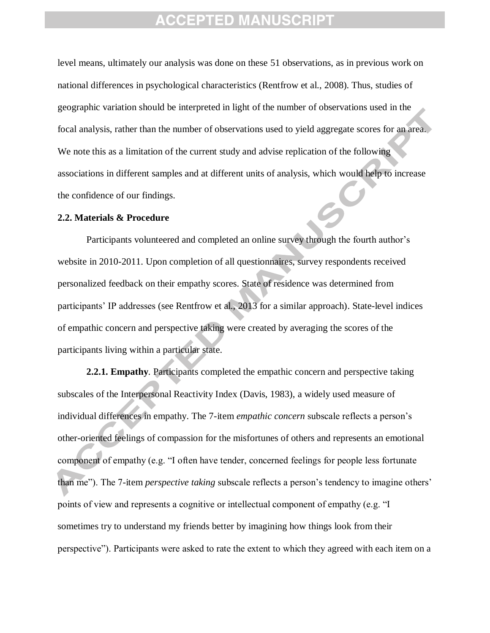level means, ultimately our analysis was done on these 51 observations, as in previous work on national differences in psychological characteristics (Rentfrow et al., 2008). Thus, studies of geographic variation should be interpreted in light of the number of observations used in the focal analysis, rather than the number of observations used to yield aggregate scores for an area. We note this as a limitation of the current study and advise replication of the following associations in different samples and at different units of analysis, which would help to increase the confidence of our findings.

#### **2.2. Materials & Procedure**

Participants volunteered and completed an online survey through the fourth author's website in 2010-2011. Upon completion of all questionnaires, survey respondents received personalized feedback on their empathy scores. State of residence was determined from participants' IP addresses (see Rentfrow et al., 2013 for a similar approach). State-level indices of empathic concern and perspective taking were created by averaging the scores of the participants living within a particular state.

**2.2.1. Empathy***.* Participants completed the empathic concern and perspective taking subscales of the Interpersonal Reactivity Index (Davis, 1983), a widely used measure of individual differences in empathy. The 7-item *empathic concern* subscale reflects a person's other-oriented feelings of compassion for the misfortunes of others and represents an emotional component of empathy (e.g. "I often have tender, concerned feelings for people less fortunate than me"). The 7-item *perspective taking* subscale reflects a person's tendency to imagine others' points of view and represents a cognitive or intellectual component of empathy (e.g. "I sometimes try to understand my friends better by imagining how things look from their perspective"). Participants were asked to rate the extent to which they agreed with each item on a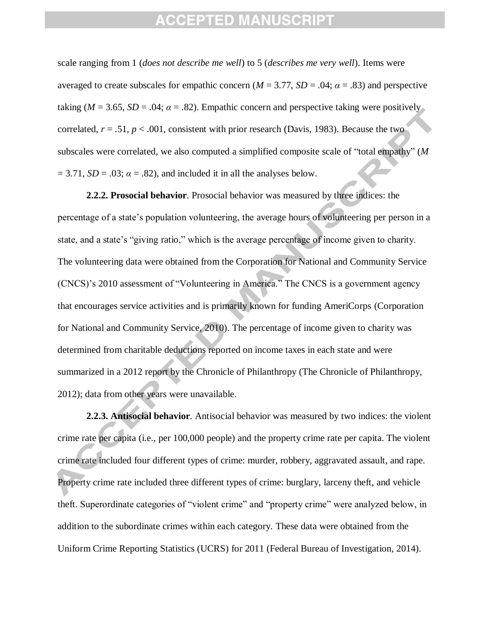scale ranging from 1 (*does not describe me well*) to 5 (*describes me very well*). Items were averaged to create subscales for empathic concern ( $M = 3.77$ ,  $SD = .04$ ;  $\alpha = .83$ ) and perspective taking ( $M = 3.65$ ,  $SD = .04$ ;  $\alpha = .82$ ). Empathic concern and perspective taking were positively correlated,  $r = .51$ ,  $p < .001$ , consistent with prior research (Davis, 1983). Because the two subscales were correlated, we also computed a simplified composite scale of "total empathy" (*M*  $= 3.71$ , *SD* = .03;  $\alpha = .82$ ), and included it in all the analyses below.

**2.2.2. Prosocial behavior**. Prosocial behavior was measured by three indices: the percentage of a state's population volunteering, the average hours of volunteering per person in a state, and a state's "giving ratio," which is the average percentage of income given to charity. The volunteering data were obtained from the Corporation for National and Community Service (CNCS)'s 2010 assessment of "Volunteering in America." The CNCS is a government agency that encourages service activities and is primarily known for funding AmeriCorps (Corporation for National and Community Service, 2010). The percentage of income given to charity was determined from charitable deductions reported on income taxes in each state and were summarized in a 2012 report by the Chronicle of Philanthropy (The Chronicle of Philanthropy, 2012); data from other years were unavailable.

**2.2.3. Antisocial behavior**. Antisocial behavior was measured by two indices: the violent crime rate per capita (i.e., per 100,000 people) and the property crime rate per capita. The violent crime rate included four different types of crime: murder, robbery, aggravated assault, and rape. Property crime rate included three different types of crime: burglary, larceny theft, and vehicle theft. Superordinate categories of "violent crime" and "property crime" were analyzed below, in addition to the subordinate crimes within each category. These data were obtained from the Uniform Crime Reporting Statistics (UCRS) for 2011 (Federal Bureau of Investigation, 2014).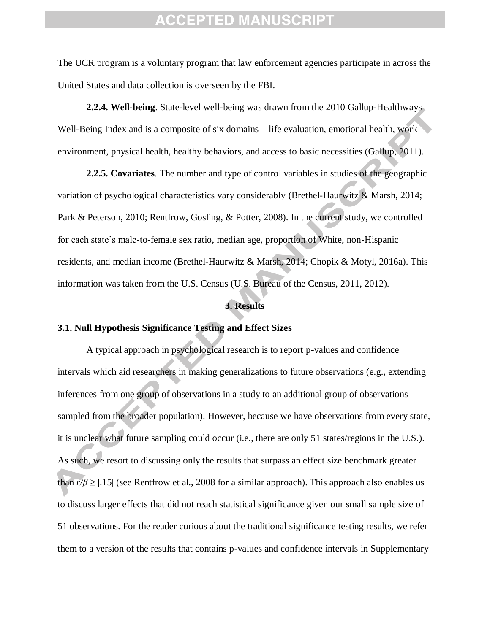The UCR program is a voluntary program that law enforcement agencies participate in across the United States and data collection is overseen by the FBI.

**2.2.4. Well-being**. State-level well-being was drawn from the 2010 Gallup-Healthways Well-Being Index and is a composite of six domains—life evaluation, emotional health, work environment, physical health, healthy behaviors, and access to basic necessities (Gallup, 2011).

**2.2.5. Covariates**. The number and type of control variables in studies of the geographic variation of psychological characteristics vary considerably (Brethel-Haurwitz & Marsh, 2014; Park & Peterson, 2010; Rentfrow, Gosling, & Potter, 2008). In the current study, we controlled for each state's male-to-female sex ratio, median age, proportion of White, non-Hispanic residents, and median income (Brethel-Haurwitz & Marsh, 2014; Chopik & Motyl, 2016a). This information was taken from the U.S. Census (U.S. Bureau of the Census, 2011, 2012).

#### **3. Results**

#### **3.1. Null Hypothesis Significance Testing and Effect Sizes**

A typical approach in psychological research is to report p-values and confidence intervals which aid researchers in making generalizations to future observations (e.g., extending inferences from one group of observations in a study to an additional group of observations sampled from the broader population). However, because we have observations from every state, it is unclear what future sampling could occur (i.e., there are only 51 states/regions in the U.S.). As such, we resort to discussing only the results that surpass an effect size benchmark greater than  $r/\beta \geq 1.15$  (see Rentfrow et al., 2008 for a similar approach). This approach also enables us to discuss larger effects that did not reach statistical significance given our small sample size of 51 observations. For the reader curious about the traditional significance testing results, we refer them to a version of the results that contains p-values and confidence intervals in Supplementary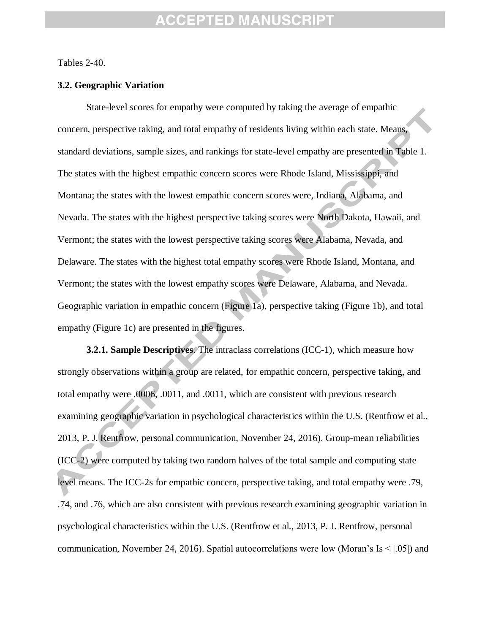Tables 2-40.

#### **3.2. Geographic Variation**

State-level scores for empathy were computed by taking the average of empathic concern, perspective taking, and total empathy of residents living within each state. Means, standard deviations, sample sizes, and rankings for state-level empathy are presented in Table 1. The states with the highest empathic concern scores were Rhode Island, Mississippi, and Montana; the states with the lowest empathic concern scores were, Indiana, Alabama, and Nevada. The states with the highest perspective taking scores were North Dakota, Hawaii, and Vermont; the states with the lowest perspective taking scores were Alabama, Nevada, and Delaware. The states with the highest total empathy scores were Rhode Island, Montana, and Vermont; the states with the lowest empathy scores were Delaware, Alabama, and Nevada. Geographic variation in empathic concern (Figure 1a), perspective taking (Figure 1b), and total empathy (Figure 1c) are presented in the figures.

**3.2.1. Sample Descriptives**. The intraclass correlations (ICC-1), which measure how strongly observations within a group are related, for empathic concern, perspective taking, and total empathy were .0006, .0011, and .0011, which are consistent with previous research examining geographic variation in psychological characteristics within the U.S. (Rentfrow et al., 2013, P. J. Rentfrow, personal communication, November 24, 2016). Group-mean reliabilities (ICC-2) were computed by taking two random halves of the total sample and computing state level means. The ICC-2s for empathic concern, perspective taking, and total empathy were .79, .74, and .76, which are also consistent with previous research examining geographic variation in psychological characteristics within the U.S. (Rentfrow et al., 2013, P. J. Rentfrow, personal communication, November 24, 2016). Spatial autocorrelations were low (Moran's Is  $\leq$  |.05|) and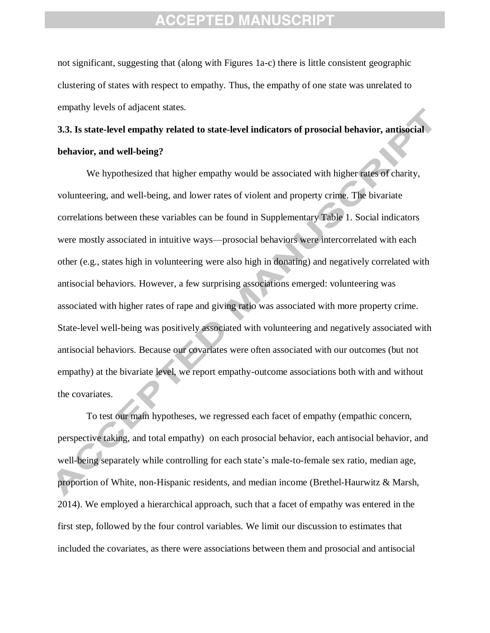not significant, suggesting that (along with Figures 1a-c) there is little consistent geographic clustering of states with respect to empathy. Thus, the empathy of one state was unrelated to empathy levels of adjacent states.

### **3.3. Is state-level empathy related to state-level indicators of prosocial behavior, antisocial behavior, and well-being?**

We hypothesized that higher empathy would be associated with higher rates of charity, volunteering, and well-being, and lower rates of violent and property crime. The bivariate correlations between these variables can be found in Supplementary Table 1. Social indicators were mostly associated in intuitive ways—prosocial behaviors were intercorrelated with each other (e.g., states high in volunteering were also high in donating) and negatively correlated with antisocial behaviors. However, a few surprising associations emerged: volunteering was associated with higher rates of rape and giving ratio was associated with more property crime. State-level well-being was positively associated with volunteering and negatively associated with antisocial behaviors. Because our covariates were often associated with our outcomes (but not empathy) at the bivariate level, we report empathy-outcome associations both with and without the covariates.

To test our main hypotheses, we regressed each facet of empathy (empathic concern, perspective taking, and total empathy) on each prosocial behavior, each antisocial behavior, and well-being separately while controlling for each state's male-to-female sex ratio, median age, proportion of White, non-Hispanic residents, and median income (Brethel-Haurwitz & Marsh, 2014). We employed a hierarchical approach, such that a facet of empathy was entered in the first step, followed by the four control variables. We limit our discussion to estimates that included the covariates, as there were associations between them and prosocial and antisocial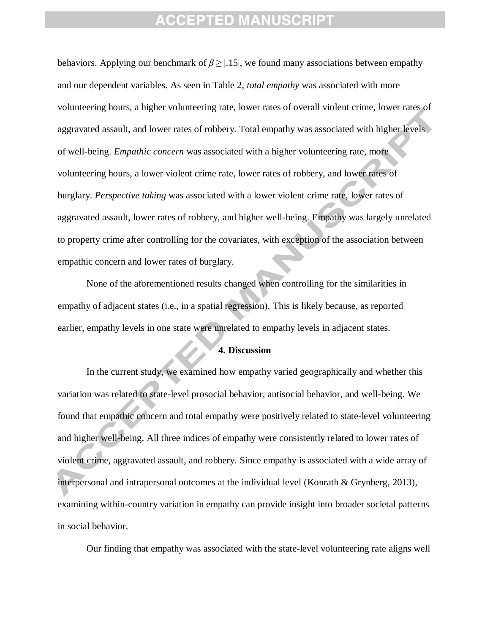behaviors. Applying our benchmark of  $\beta \geq |0.15|$ , we found many associations between empathy and our dependent variables. As seen in Table 2, *total empathy* was associated with more volunteering hours, a higher volunteering rate, lower rates of overall violent crime, lower rates of aggravated assault, and lower rates of robbery. Total empathy was associated with higher levels of well-being. *Empathic concern* was associated with a higher volunteering rate, more volunteering hours, a lower violent crime rate, lower rates of robbery, and lower rates of burglary. *Perspective taking* was associated with a lower violent crime rate, lower rates of aggravated assault, lower rates of robbery, and higher well-being. Empathy was largely unrelated to property crime after controlling for the covariates, with exception of the association between empathic concern and lower rates of burglary.

None of the aforementioned results changed when controlling for the similarities in empathy of adjacent states (i.e., in a spatial regression). This is likely because, as reported earlier, empathy levels in one state were unrelated to empathy levels in adjacent states.

#### **4. Discussion**

In the current study, we examined how empathy varied geographically and whether this variation was related to state-level prosocial behavior, antisocial behavior, and well-being. We found that empathic concern and total empathy were positively related to state-level volunteering and higher well-being. All three indices of empathy were consistently related to lower rates of violent crime, aggravated assault, and robbery. Since empathy is associated with a wide array of interpersonal and intrapersonal outcomes at the individual level (Konrath & Grynberg, 2013), examining within-country variation in empathy can provide insight into broader societal patterns in social behavior.

Our finding that empathy was associated with the state-level volunteering rate aligns well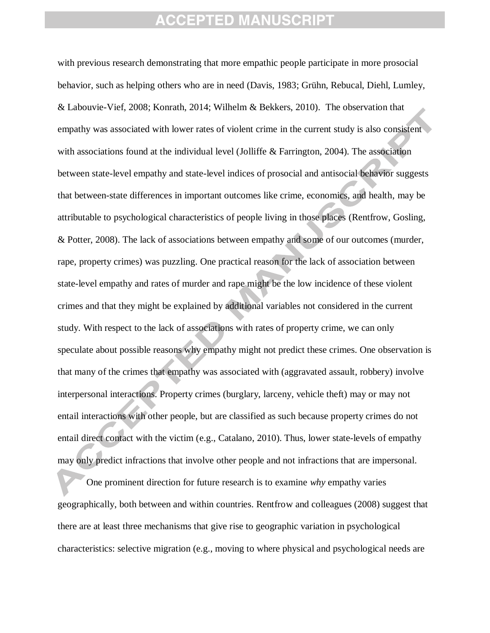with previous research demonstrating that more empathic people participate in more prosocial behavior, such as helping others who are in need (Davis, 1983; Grühn, Rebucal, Diehl, Lumley, & Labouvie-Vief, 2008; Konrath, 2014; Wilhelm & Bekkers, 2010). The observation that empathy was associated with lower rates of violent crime in the current study is also consistent with associations found at the individual level (Jolliffe & Farrington, 2004). The association between state-level empathy and state-level indices of prosocial and antisocial behavior suggests that between-state differences in important outcomes like crime, economics, and health, may be attributable to psychological characteristics of people living in those places (Rentfrow, Gosling, & Potter, 2008). The lack of associations between empathy and some of our outcomes (murder, rape, property crimes) was puzzling. One practical reason for the lack of association between state-level empathy and rates of murder and rape might be the low incidence of these violent crimes and that they might be explained by additional variables not considered in the current study. With respect to the lack of associations with rates of property crime, we can only speculate about possible reasons why empathy might not predict these crimes. One observation is that many of the crimes that empathy was associated with (aggravated assault, robbery) involve interpersonal interactions. Property crimes (burglary, larceny, vehicle theft) may or may not entail interactions with other people, but are classified as such because property crimes do not entail direct contact with the victim (e.g., Catalano, 2010). Thus, lower state-levels of empathy may only predict infractions that involve other people and not infractions that are impersonal.

One prominent direction for future research is to examine *why* empathy varies geographically, both between and within countries. Rentfrow and colleagues (2008) suggest that there are at least three mechanisms that give rise to geographic variation in psychological characteristics: selective migration (e.g., moving to where physical and psychological needs are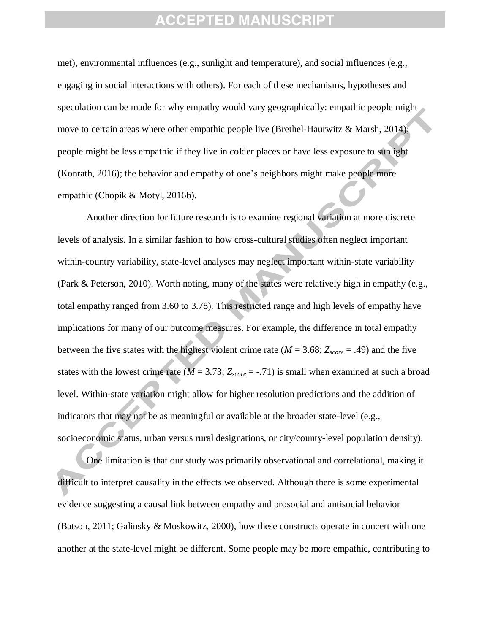met), environmental influences (e.g., sunlight and temperature), and social influences (e.g., engaging in social interactions with others). For each of these mechanisms, hypotheses and speculation can be made for why empathy would vary geographically: empathic people might move to certain areas where other empathic people live (Brethel-Haurwitz & Marsh, 2014); people might be less empathic if they live in colder places or have less exposure to sunlight (Konrath, 2016); the behavior and empathy of one's neighbors might make people more empathic (Chopik & Motyl, 2016b).

Another direction for future research is to examine regional variation at more discrete levels of analysis. In a similar fashion to how cross-cultural studies often neglect important within-country variability, state-level analyses may neglect important within-state variability (Park & Peterson, 2010). Worth noting, many of the states were relatively high in empathy (e.g., total empathy ranged from 3.60 to 3.78). This restricted range and high levels of empathy have implications for many of our outcome measures. For example, the difference in total empathy between the five states with the highest violent crime rate ( $M = 3.68$ ;  $Z_{score} = .49$ ) and the five states with the lowest crime rate ( $M = 3.73$ ;  $Z_{score} = -.71$ ) is small when examined at such a broad level. Within-state variation might allow for higher resolution predictions and the addition of indicators that may not be as meaningful or available at the broader state-level (e.g., socioeconomic status, urban versus rural designations, or city/county-level population density).

One limitation is that our study was primarily observational and correlational, making it difficult to interpret causality in the effects we observed. Although there is some experimental evidence suggesting a causal link between empathy and prosocial and antisocial behavior (Batson, 2011; Galinsky & Moskowitz, 2000), how these constructs operate in concert with one another at the state-level might be different. Some people may be more empathic, contributing to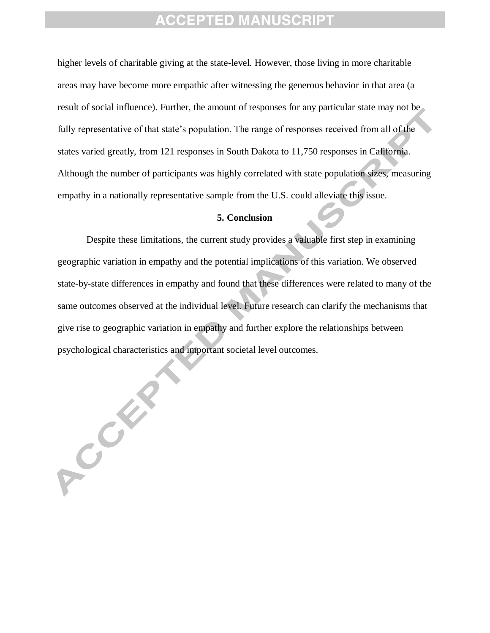higher levels of charitable giving at the state-level. However, those living in more charitable areas may have become more empathic after witnessing the generous behavior in that area (a result of social influence). Further, the amount of responses for any particular state may not be fully representative of that state's population. The range of responses received from all of the states varied greatly, from 121 responses in South Dakota to 11,750 responses in California. Although the number of participants was highly correlated with state population sizes, measuring empathy in a nationally representative sample from the U.S. could alleviate this issue.

#### **5. Conclusion**

Despite these limitations, the current study provides a valuable first step in examining geographic variation in empathy and the potential implications of this variation. We observed state-by-state differences in empathy and found that these differences were related to many of the same outcomes observed at the individual level. Future research can clarify the mechanisms that give rise to geographic variation in empathy and further explore the relationships between psychological characteristics and important societal level outcomes.

ACCER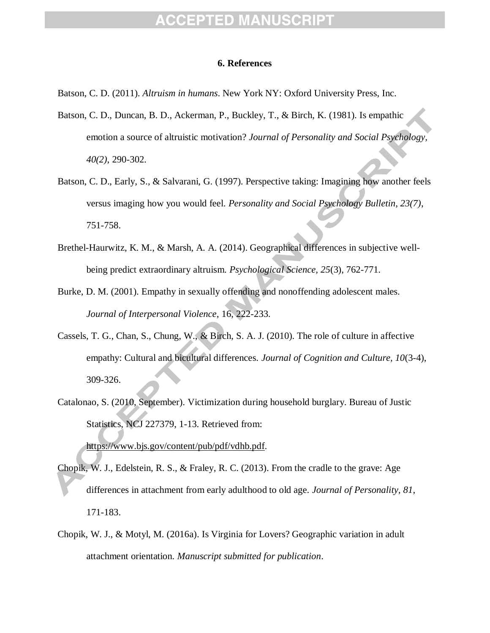#### CEPTED MAI

#### **6. References**

Batson, C. D. (2011). *Altruism in humans*. New York NY: Oxford University Press, Inc.

- Batson, C. D., Duncan, B. D., Ackerman, P., Buckley, T., & Birch, K. (1981). Is empathic emotion a source of altruistic motivation? *Journal of Personality and Social Psychology, 40(2)*, 290-302.
- Batson, C. D., Early, S., & Salvarani, G. (1997). Perspective taking: Imagining how another feels versus imaging how you would feel. *Personality and Social Psychology Bulletin, 23(7)*, 751-758.
- Brethel-Haurwitz, K. M., & Marsh, A. A. (2014). Geographical differences in subjective wellbeing predict extraordinary altruism. *Psychological Science, 25*(3), 762-771.
- Burke, D. M. (2001). Empathy in sexually offending and nonoffending adolescent males. *Journal of Interpersonal Violence*, 16, 222-233.
- Cassels, T. G., Chan, S., Chung, W., & Birch, S. A. J. (2010). The role of culture in affective empathy: Cultural and bicultural differences. *Journal of Cognition and Culture, 10*(3-4), 309-326.
- Catalonao, S. (2010, September). Victimization during household burglary. Bureau of Justic Statistics, NCJ 227379, 1-13. Retrieved from:

[https://www.bjs.gov/content/pub/pdf/vdhb.pdf.](https://www.bjs.gov/content/pub/pdf/vdhb.pdf)

- Chopik, W. J., Edelstein, R. S., & Fraley, R. C. (2013). From the cradle to the grave: Age differences in attachment from early adulthood to old age. *Journal of Personality, 81*, 171-183.
- Chopik, W. J., & Motyl, M. (2016a). Is Virginia for Lovers? Geographic variation in adult attachment orientation. *Manuscript submitted for publication*.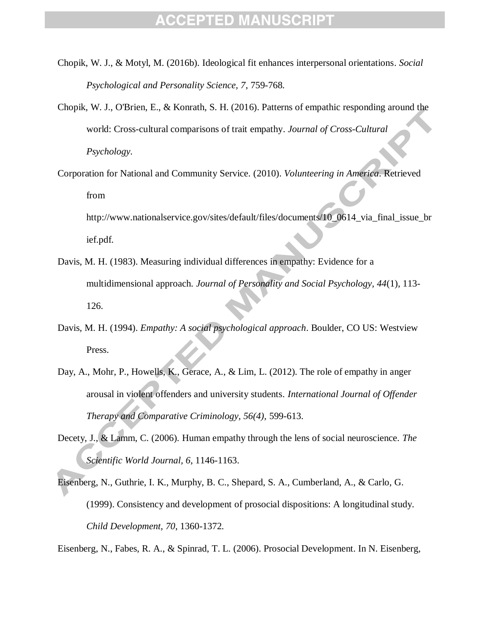- Chopik, W. J., & Motyl, M. (2016b). Ideological fit enhances interpersonal orientations. *Social Psychological and Personality Science, 7*, 759-768.
- Chopik, W. J., O'Brien, E., & Konrath, S. H. (2016). Patterns of empathic responding around the world: Cross-cultural comparisons of trait empathy. *Journal of Cross-Cultural Psychology.*
- Corporation for National and Community Service. (2010). *Volunteering in America*. Retrieved from

http://www.nationalservice.gov/sites/default/files/documents/10\_0614\_via\_final\_issue\_br ief.pdf.

- Davis, M. H. (1983). Measuring individual differences in empathy: Evidence for a multidimensional approach. *Journal of Personality and Social Psychology, 44*(1), 113- 126.
- Davis, M. H. (1994). *Empathy: A social psychological approach*. Boulder, CO US: Westview Press.
- Day, A., Mohr, P., Howells, K., Gerace, A., & Lim, L. (2012). The role of empathy in anger arousal in violent offenders and university students. *International Journal of Offender Therapy and Comparative Criminology, 56(4),* 599-613.
- Decety, J., & Lamm, C. (2006). Human empathy through the lens of social neuroscience. *The Scientific World Journal, 6*, 1146-1163.
- Eisenberg, N., Guthrie, I. K., Murphy, B. C., Shepard, S. A., Cumberland, A., & Carlo, G. (1999). Consistency and development of prosocial dispositions: A longitudinal study. *Child Development, 70*, 1360-1372.

Eisenberg, N., Fabes, R. A., & Spinrad, T. L. (2006). Prosocial Development. In N. Eisenberg,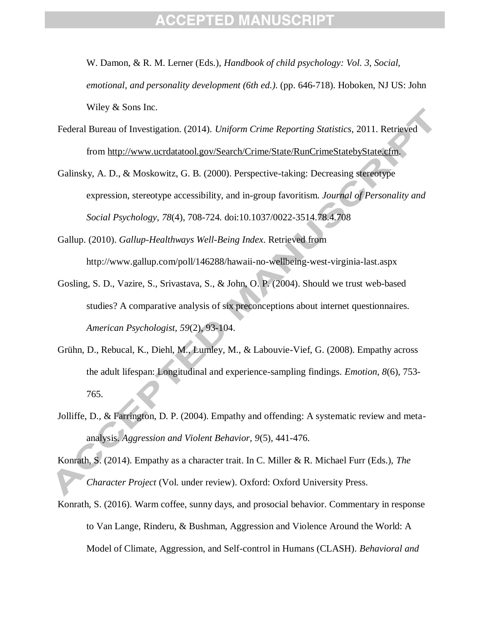W. Damon, & R. M. Lerner (Eds.), *Handbook of child psychology: Vol. 3, Social, emotional, and personality development (6th ed.).* (pp. 646-718). Hoboken, NJ US: John Wiley & Sons Inc.

- Federal Bureau of Investigation. (2014). *Uniform Crime Reporting Statistics*, 2011. Retrieved from [http://www.ucrdatatool.gov/Search/Crime/State/RunCrimeStatebyState.cfm.](http://www.ucrdatatool.gov/Search/Crime/State/RunCrimeStatebyState.cfm)
- Galinsky, A. D., & Moskowitz, G. B. (2000). Perspective-taking: Decreasing stereotype expression, stereotype accessibility, and in-group favoritism. *Journal of Personality and Social Psychology*, *78*(4), 708-724. doi:10.1037/0022-3514.78.4.708
- Gallup. (2010). *Gallup-Healthways Well-Being Index*. Retrieved from http://www.gallup.com/poll/146288/hawaii-no-wellbeing-west-virginia-last.aspx
- Gosling, S. D., Vazire, S., Srivastava, S., & John, O. P. (2004). Should we trust web-based studies? A comparative analysis of six preconceptions about internet questionnaires. *American Psychologist, 59*(2), 93-104.
- Grühn, D., Rebucal, K., Diehl, M., Lumley, M., & Labouvie-Vief, G. (2008). Empathy across the adult lifespan: Longitudinal and experience-sampling findings. *Emotion, 8*(6), 753- 765.
- Jolliffe, D., & Farrington, D. P. (2004). Empathy and offending: A systematic review and metaanalysis. *Aggression and Violent Behavior, 9*(5), 441-476.
- Konrath, S. (2014). Empathy as a character trait. In C. Miller & R. Michael Furr (Eds.), *The Character Project* (Vol. under review). Oxford: Oxford University Press.
- Konrath, S. (2016). Warm coffee, sunny days, and prosocial behavior. Commentary in response to Van Lange, Rinderu, & Bushman, Aggression and Violence Around the World: A Model of Climate, Aggression, and Self-control in Humans (CLASH). *Behavioral and*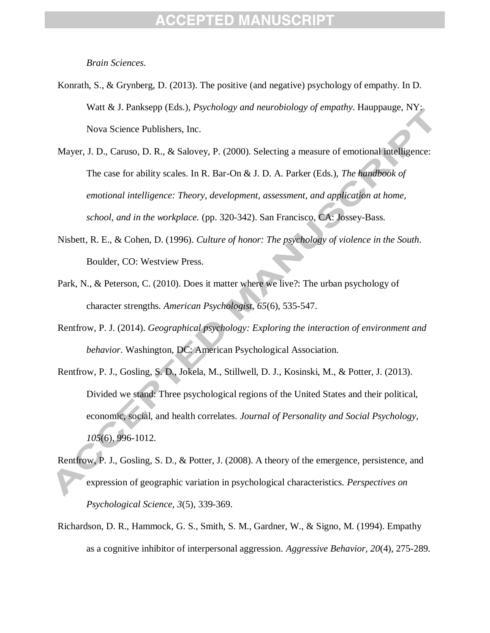*Brain Sciences*.

- Konrath, S., & Grynberg, D. (2013). The positive (and negative) psychology of empathy. In D. Watt & J. Panksepp (Eds.), *Psychology and neurobiology of empathy*. Hauppauge, NY: Nova Science Publishers, Inc.
- Mayer, J. D., Caruso, D. R., & Salovey, P. (2000). Selecting a measure of emotional intelligence: The case for ability scales. In R. Bar-On & J. D. A. Parker (Eds.), *The handbook of emotional intelligence: Theory, development, assessment, and application at home, school, and in the workplace.* (pp. 320-342). San Francisco, CA: Jossey-Bass.
- Nisbett, R. E., & Cohen, D. (1996). *Culture of honor: The psychology of violence in the South*. Boulder, CO: Westview Press.
- Park, N., & Peterson, C. (2010). Does it matter where we live?: The urban psychology of character strengths. *American Psychologist, 65*(6), 535-547.
- Rentfrow, P. J. (2014). *Geographical psychology: Exploring the interaction of environment and behavior*. Washington, DC: American Psychological Association.
- Rentfrow, P. J., Gosling, S. D., Jokela, M., Stillwell, D. J., Kosinski, M., & Potter, J. (2013). Divided we stand: Three psychological regions of the United States and their political, economic, social, and health correlates. *Journal of Personality and Social Psychology, 105*(6), 996-1012.
- Rentfrow, P. J., Gosling, S. D., & Potter, J. (2008). A theory of the emergence, persistence, and expression of geographic variation in psychological characteristics. *Perspectives on Psychological Science, 3*(5), 339-369.
- Richardson, D. R., Hammock, G. S., Smith, S. M., Gardner, W., & Signo, M. (1994). Empathy as a cognitive inhibitor of interpersonal aggression. *Aggressive Behavior, 20*(4), 275-289.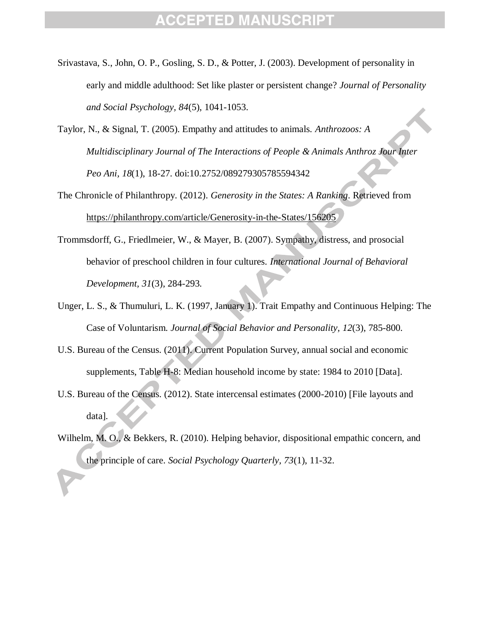- Srivastava, S., John, O. P., Gosling, S. D., & Potter, J. (2003). Development of personality in early and middle adulthood: Set like plaster or persistent change? *Journal of Personality and Social Psychology, 84*(5), 1041-1053.
- Taylor, N., & Signal, T. (2005). Empathy and attitudes to animals. *Anthrozoos: A Multidisciplinary Journal of The Interactions of People & Animals Anthroz Jour Inter Peo Ani, 18*(1), 18-27. doi:10.2752/089279305785594342
- The Chronicle of Philanthropy. (2012). *Generosity in the States: A Ranking*. Retrieved from <https://philanthropy.com/article/Generosity-in-the-States/156205>
- Trommsdorff, G., Friedlmeier, W., & Mayer, B. (2007). Sympathy, distress, and prosocial behavior of preschool children in four cultures. *International Journal of Behavioral Development, 31*(3), 284-293.
- Unger, L. S., & Thumuluri, L. K. (1997, January 1). Trait Empathy and Continuous Helping: The Case of Voluntarism. *Journal of Social Behavior and Personality, 12*(3), 785-800.
- U.S. Bureau of the Census. (2011). Current Population Survey, annual social and economic supplements, Table H-8: Median household income by state: 1984 to 2010 [Data].
- U.S. Bureau of the Census. (2012). State intercensal estimates (2000-2010) [File layouts and data].
- Wilhelm, M. O., & Bekkers, R. (2010). Helping behavior, dispositional empathic concern, and the principle of care. *Social Psychology Quarterly, 73*(1), 11-32.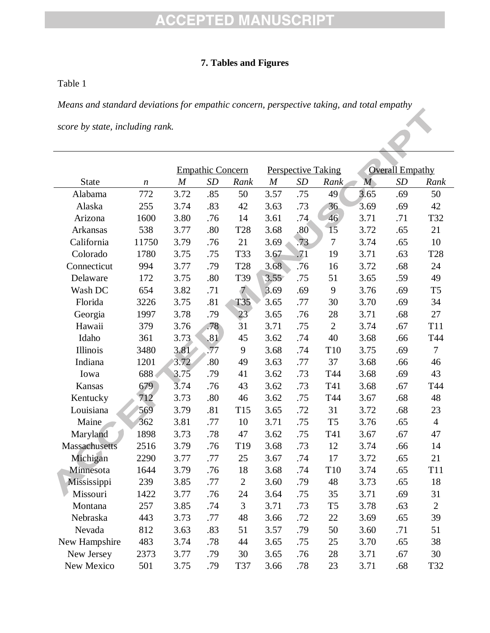#### **7. Tables and Figures**

#### Table 1

*Means and standard deviations for empathic concern, perspective taking, and total empathy* 

*score by state, including rank.*

|               |                  |                                       |                         |                |      |                           |                | <b>Overall Empathy</b> |     |                 |  |
|---------------|------------------|---------------------------------------|-------------------------|----------------|------|---------------------------|----------------|------------------------|-----|-----------------|--|
|               |                  |                                       | <b>Empathic Concern</b> | Rank           |      | <b>Perspective Taking</b> |                |                        |     |                 |  |
| <b>State</b>  | $\boldsymbol{n}$ | $\boldsymbol{M}$<br>SD<br>3.72<br>.85 |                         |                | M    | SD                        | Rank           | $\overline{M}$         | SD  | Rank            |  |
| Alabama       | 772              |                                       |                         | 50             | 3.57 | .75                       | 49             | 3.65                   | .69 | 50              |  |
| Alaska        | 255              | 3.74                                  | .83                     | 42             | 3.63 | .73                       | 36             | 3.69                   | .69 | 42              |  |
| Arizona       | 1600             | 3.80                                  | .76                     | 14             | 3.61 | .74                       | 46             | 3.71                   | .71 | T32             |  |
| Arkansas      | 538              | 3.77                                  | .80                     | <b>T28</b>     | 3.68 | .80                       | 15             | 3.72                   | .65 | 21              |  |
| California    | 11750            | 3.79                                  | .76                     | 21             | 3.69 | .73                       | $\overline{7}$ | 3.74                   | .65 | 10              |  |
| Colorado      | 1780             | 3.75                                  | .75                     | <b>T33</b>     | 3.67 | .71                       | 19             | 3.71                   | .63 | <b>T28</b>      |  |
| Connecticut   | 994              | 3.77                                  | .79                     | <b>T28</b>     | 3.68 | .76                       | 16             | 3.72                   | .68 | 24              |  |
| Delaware      | 172              | 3.75                                  | .80                     | T39            | 3.55 | .75                       | 51             | 3.65                   | .59 | 49              |  |
| Wash DC       | 654              | 3.82                                  | .71                     | $\overline{7}$ | 3.69 | .69                       | 9              | 3.76                   | .69 | T <sub>5</sub>  |  |
| Florida       | 3226             | 3.75                                  | .81                     | T35            | 3.65 | .77                       | 30             | 3.70                   | .69 | 34              |  |
| Georgia       | 1997             | 3.78                                  | .79                     | 23             | 3.65 | .76                       | 28             | 3.71                   | .68 | 27              |  |
| Hawaii        | 379              | 3.76                                  | .78                     | 31             | 3.71 | .75                       | $\overline{2}$ | 3.74                   | .67 | T <sub>11</sub> |  |
| Idaho         | 361              | 3.73                                  | .81                     | 45             | 3.62 | .74                       | 40             | 3.68                   | .66 | T44             |  |
| Illinois      | 3480             | 3.81                                  | .77                     | 9              | 3.68 | .74                       | T10            | 3.75                   | .69 | $\overline{7}$  |  |
| Indiana       | 1201             | 3.72                                  | .80                     | 49             | 3.63 | .77                       | 37             | 3.68                   | .66 | 46              |  |
| Iowa          | 688              | 3.75                                  | .79                     | 41             | 3.62 | .73                       | T44            | 3.68                   | .69 | 43              |  |
| Kansas        | 679              | 3.74                                  | .76                     | 43             | 3.62 | .73                       | T41            | 3.68                   | .67 | T44             |  |
| Kentucky      | 712              | 3.73                                  | .80                     | 46             | 3.62 | .75                       | T44            | 3.67                   | .68 | 48              |  |
| Louisiana     | 569              | 3.79                                  | .81                     | T15            | 3.65 | .72                       | 31             | 3.72                   | .68 | 23              |  |
| Maine         | 362              | 3.81                                  | .77                     | 10             | 3.71 | .75                       | T <sub>5</sub> | 3.76                   | .65 | $\overline{4}$  |  |
| Maryland      | 1898             | 3.73                                  | .78                     | 47             | 3.62 | .75                       | T41            | 3.67                   | .67 | 47              |  |
| Massachusetts | 2516             | 3.79                                  | .76                     | T19            | 3.68 | .73                       | 12             | 3.74                   | .66 | 14              |  |
| Michigan      | 2290             | 3.77                                  | .77                     | 25             | 3.67 | .74                       | 17             | 3.72                   | .65 | 21              |  |
| Minnesota     | 1644             | 3.79                                  | .76                     | 18             | 3.68 | .74                       | T10            | 3.74                   | .65 | <b>T11</b>      |  |
| Mississippi   | 239              | 3.85                                  | .77                     | $\overline{2}$ | 3.60 | .79                       | 48             | 3.73                   | .65 | 18              |  |
| Missouri      | 1422             | 3.77                                  | .76                     | 24             | 3.64 | .75                       | 35             | 3.71                   | .69 | 31              |  |
| Montana       | 257              | 3.85                                  | .74                     | 3              | 3.71 | .73                       | T <sub>5</sub> | 3.78                   | .63 | $\overline{2}$  |  |
| Nebraska      | 443              | 3.73                                  | .77                     | 48             | 3.66 | .72                       | 22             | 3.69                   | .65 | 39              |  |
| Nevada        | 812              | 3.63                                  | .83                     | 51             | 3.57 | .79                       | 50             | 3.60                   | .71 | 51              |  |
| New Hampshire | 483              | 3.74                                  | .78                     | 44             | 3.65 | .75                       | 25             | 3.70                   | .65 | 38              |  |
| New Jersey    | 2373             | 3.77                                  | .79                     | 30             | 3.65 | .76                       | 28             | 3.71                   | .67 | 30              |  |
| New Mexico    | 501              | 3.75                                  | .79                     | T37            | 3.66 | .78                       | 23             | 3.71                   | .68 | T32             |  |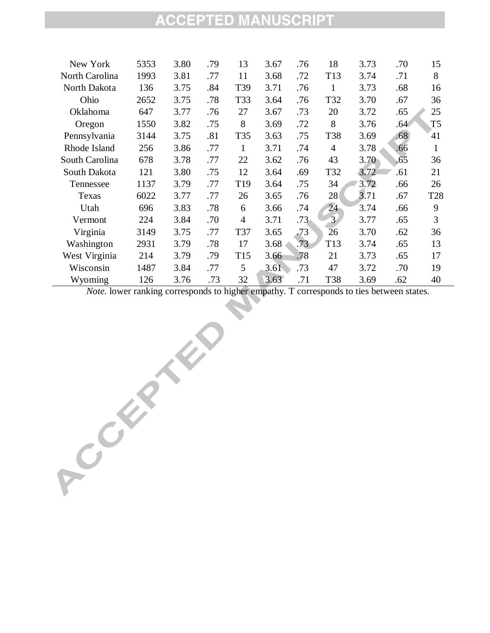| New York       | 5353 | 3.80 | .79 | 13              | 3.67 | .76 | 18              | 3.73 | .70 | 15             |
|----------------|------|------|-----|-----------------|------|-----|-----------------|------|-----|----------------|
| North Carolina | 1993 | 3.81 | .77 | 11              | 3.68 | .72 | T <sub>13</sub> | 3.74 | .71 | 8              |
| North Dakota   | 136  | 3.75 | .84 | T39             | 3.71 | .76 | 1               | 3.73 | .68 | 16             |
| Ohio           | 2652 | 3.75 | .78 | T33             | 3.64 | .76 | T32             | 3.70 | .67 | 36             |
| Oklahoma       | 647  | 3.77 | .76 | 27              | 3.67 | .73 | 20              | 3.72 | .65 | 25             |
| Oregon         | 1550 | 3.82 | .75 | 8               | 3.69 | .72 | 8               | 3.76 | .64 | T <sub>5</sub> |
| Pennsylvania   | 3144 | 3.75 | .81 | T35             | 3.63 | .75 | T38             | 3.69 | .68 | 41             |
| Rhode Island   | 256  | 3.86 | .77 | 1               | 3.71 | .74 | 4               | 3.78 | .66 | $\mathbf{1}$   |
| South Carolina | 678  | 3.78 | .77 | 22              | 3.62 | .76 | 43              | 3.70 | .65 | 36             |
| South Dakota   | 121  | 3.80 | .75 | 12              | 3.64 | .69 | T32             | 3.72 | .61 | 21             |
| Tennessee      | 1137 | 3.79 | .77 | T <sub>19</sub> | 3.64 | .75 | 34              | 3.72 | .66 | 26             |
| Texas          | 6022 | 3.77 | .77 | 26              | 3.65 | .76 | 28              | 3.71 | .67 | <b>T28</b>     |
| Utah           | 696  | 3.83 | .78 | 6               | 3.66 | .74 | 24              | 3.74 | .66 | 9              |
| Vermont        | 224  | 3.84 | .70 | $\overline{4}$  | 3.71 | .73 | $\overline{3}$  | 3.77 | .65 | 3              |
| Virginia       | 3149 | 3.75 | .77 | <b>T37</b>      | 3.65 | .73 | 26              | 3.70 | .62 | 36             |
| Washington     | 2931 | 3.79 | .78 | 17              | 3.68 | .73 | T <sub>13</sub> | 3.74 | .65 | 13             |
| West Virginia  | 214  | 3.79 | .79 | T <sub>15</sub> | 3.66 | .78 | 21              | 3.73 | .65 | 17             |
| Wisconsin      | 1487 | 3.84 | .77 | 5               | 3.61 | .73 | 47              | 3.72 | .70 | 19             |
| Wyoming        | 126  | 3.76 | .73 | 32              | 3.63 | .71 | <b>T38</b>      | 3.69 | .62 | 40             |

*Note.* lower ranking corresponds to higher empathy. T corresponds to ties between states.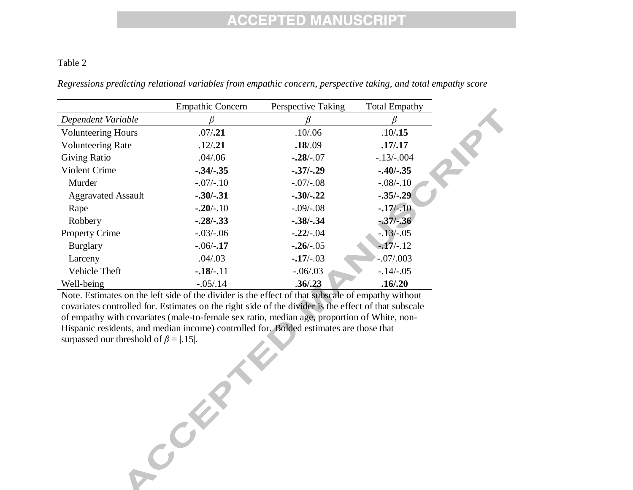#### Table 2

|                           | <b>Empathic Concern</b> | Perspective Taking | <b>Total Empathy</b> |
|---------------------------|-------------------------|--------------------|----------------------|
| Dependent Variable        |                         |                    |                      |
| <b>Volunteering Hours</b> | .07/.21                 | .10/06             | .10/.15              |
| <b>Volunteering Rate</b>  | .12/.21                 | .18/.09            | .17/0.17             |
| <b>Giving Ratio</b>       | .04/0.06                | $-.28/-.07$        | $-.13/-004$          |
| Violent Crime             | $-.34/-.35$             | $-.37/-.29$        | $-.40/-.35$          |
| Murder                    | $-.07/-.10$             | $-.07/-08$         | $-.08/-.10$          |
| <b>Aggravated Assault</b> | $-.30/-.31$             | $-.30/-.22$        | $-.35/-.29$          |
| Rape                      | $-.20/-.10$             | $-.09/-08$         | $-17/-10$            |
| Robbery                   | $-.28/-.33$             | $-.38/-.34$        | $-37/ - 36$          |
| <b>Property Crime</b>     | $-.03/-06$              | $-22/-04$          | $-13/-05$            |
| <b>Burglary</b>           | $-.06/-17$              | $-26/-05$          | $-17/-12$            |
| Larceny                   | .04/.03                 | $-17/-03$          | $-.07/.003$          |
| Vehicle Theft             | $-18/-11$               | $-.06/.03$         | $-.14/-.05$          |
| Well-being                | $-.05/.14$              | .36/.23            | .16/.20              |

*Regressions predicting relational variables from empathic concern, perspective taking, and total empathy score*

Note. Estimates on the left side of the divider is the effect of that subscale of empathy without covariates controlled for. Estimates on the right side of the divider is the effect of that subscale of empathy with covariates (male-to-female sex ratio, median age, proportion of White, non-Hispanic residents, and median income) controlled for. Bolded estimates are those that surpassed our threshold of  $\beta = |.15|$ .

COMPANY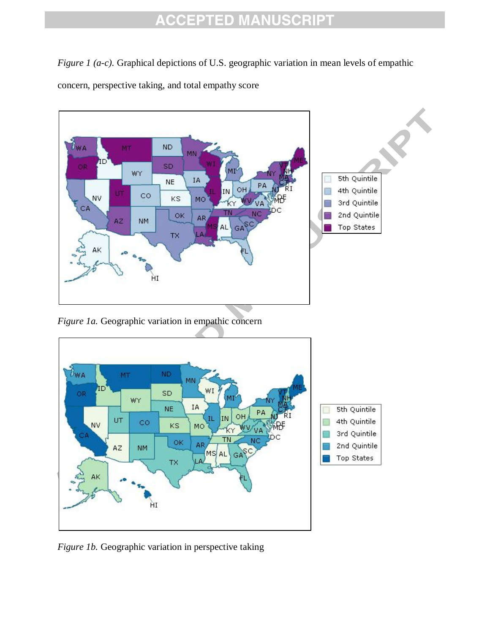*Figure 1 (a-c)*. Graphical depictions of U.S. geographic variation in mean levels of empathic concern, perspective taking, and total empathy score



*Figure 1b.* Geographic variation in perspective taking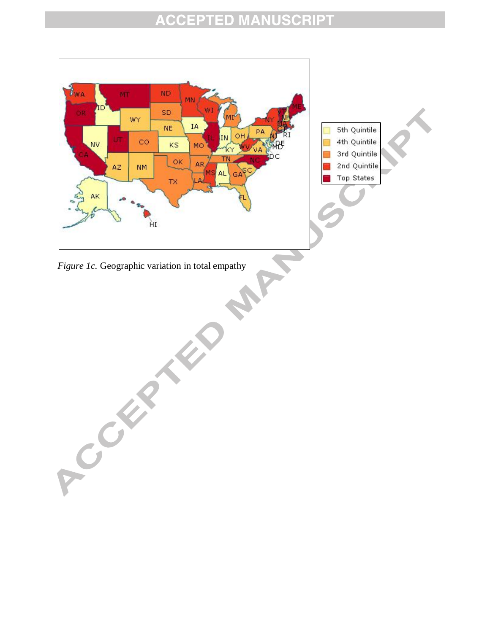

*Figure 1c.* Geographic variation in total empathy

ACCEPTED M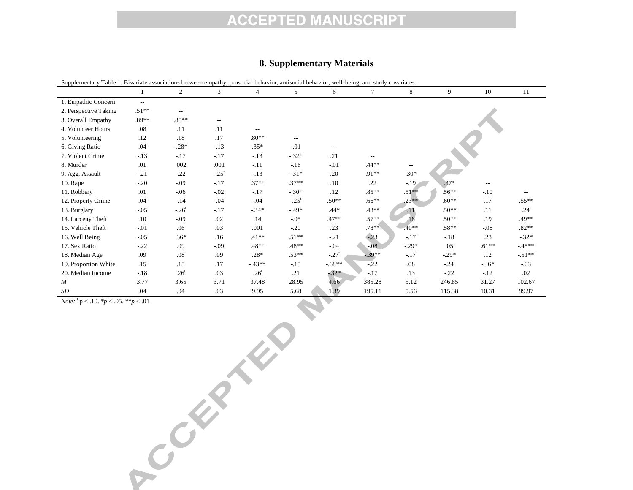#### **8. Supplementary Materials**

| Supplementary Table 1. Bivariate associations between empathy, prosocial behavior, antisocial behavior, well-being, and study covariates. |               |                          |                          |                  |                          |         |          |                 |          |         |                  |
|-------------------------------------------------------------------------------------------------------------------------------------------|---------------|--------------------------|--------------------------|------------------|--------------------------|---------|----------|-----------------|----------|---------|------------------|
|                                                                                                                                           |               | $\overline{2}$           | 3                        | 4                | 5                        | 6       | 7        | 8               | 9        | 10      | 11               |
| 1. Empathic Concern                                                                                                                       | $\sim$ $\sim$ |                          |                          |                  |                          |         |          |                 |          |         |                  |
| 2. Perspective Taking                                                                                                                     | $.51**$       | $\overline{\phantom{a}}$ |                          |                  |                          |         |          |                 |          |         |                  |
| 3. Overall Empathy                                                                                                                        | $.89**$       | $.85**$                  | $\overline{\phantom{m}}$ |                  |                          |         |          |                 |          |         |                  |
| 4. Volunteer Hours                                                                                                                        | .08           | .11                      | .11                      | --               |                          |         |          |                 |          |         |                  |
| 5. Volunteering                                                                                                                           | .12           | .18                      | .17                      | $.80**$          | $\overline{\phantom{a}}$ |         |          |                 |          |         |                  |
| 6. Giving Ratio                                                                                                                           | .04           | $-28*$                   | $-13$                    | $.35*$           | $-.01$                   | $- -$   |          |                 |          |         |                  |
| 7. Violent Crime                                                                                                                          | $-13$         | $-.17$                   | $-.17$                   | $-13$            | $-32*$                   | .21     |          |                 |          |         |                  |
| 8. Murder                                                                                                                                 | .01           | .002                     | .001                     | $-.11$           | $-16$                    | $-.01$  | .44**    |                 |          |         |                  |
| 9. Agg. Assault                                                                                                                           | $-.21$        | $-.22$                   | $-.25^t$                 | $-.13$           | $-31*$                   | .20     | $.91**$  | $.30*$          |          |         |                  |
| $10.$ Rape                                                                                                                                | $-.20$        | $-0.09$                  | $-.17$                   | $.37**$          | $.37**$                  | .10     | .22      | $-19$           | $.37*$   |         |                  |
| 11. Robbery                                                                                                                               | .01           | $-06$                    | $-.02$                   | $-17$            | $-30*$                   | .12     | $.85***$ | $.51**$         | $.56***$ | $-.10$  |                  |
| 12. Property Crime                                                                                                                        | .04           | $-14$                    | $-.04$                   | $-0.04$          | $-.25^t$                 | $.50**$ | $.66***$ | $23**$          | $.60**$  | .17     | $.55**$          |
| 13. Burglary                                                                                                                              | $-.05$        | $-26^t$                  | $-.17$                   | $-.34*$          | $-49*$                   | $.44*$  | $.43**$  | $\overline{11}$ | $.50**$  | .11     | .24 <sup>t</sup> |
| 14. Larceny Theft                                                                                                                         | .10           | $-0.09$                  | .02                      | .14              | $-0.05$                  | $.47**$ | $.57**$  | .18             | $.50**$  | .19     | .49**            |
| 15. Vehicle Theft                                                                                                                         | $-.01$        | .06                      | .03                      | .001             | $-.20$                   | .23     | $.78**$  | $.40**$         | .58**    | $-.08$  | $.82**$          |
| 16. Well Being                                                                                                                            | $-.05$        | $.36*$                   | .16                      | $.41**$          | $.51**$                  | $-21$   | $-.23$   | $-.17$          | $-18$    | .23     | $-.32*$          |
| 17. Sex Ratio                                                                                                                             | $-.22$        | .09                      | $-0.09$                  | $.48**$          | .48**                    | $-.04$  | $-0.08$  | $-.29*$         | .05      | $.61**$ | $-45**$          |
| 18. Median Age                                                                                                                            | .09           | .08                      | .09                      | $.28*$           | $.53**$                  | $-.27t$ | $.39**$  | $-.17$          | $-.29*$  | .12     | $-51**$          |
| 19. Proportion White                                                                                                                      | .15           | .15                      | .17                      | $-43**$          | $-15$                    | $-68**$ | $-22$    | .08             | $-.24^t$ | $-.36*$ | $-.03$           |
| 20. Median Income                                                                                                                         | $-18$         | .26 <sup>t</sup>         | .03                      | .26 <sup>t</sup> | .21                      | $-32*$  | $-.17$   | .13             | $-22$    | $-12$   | .02              |
| $\boldsymbol{M}$                                                                                                                          | 3.77          | 3.65                     | 3.71                     | 37.48            | 28.95                    | 4.66    | 385.28   | 5.12            | 246.85   | 31.27   | 102.67           |
| SD                                                                                                                                        | .04           | .04                      | .03                      | 9.95             | 5.68                     | 1.39    | 195.11   | 5.56            | 115.38   | 10.31   | 99.97            |

*Note:*  ${}^{\text{t}}$  p < .10.  ${}^*p$  < .05.  ${}^*{}^*p$  < .01 p < .10. \**p* < .05. \*\**p* < .01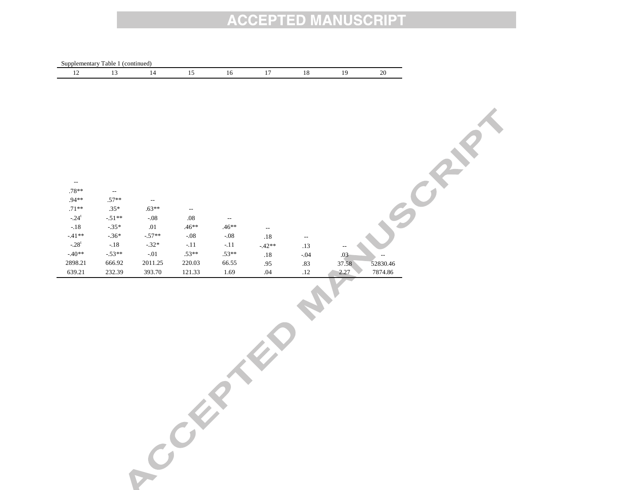|                                     | Supplementary Table 1 (continued) |                          |                          |                          |                           |         |                          |          |
|-------------------------------------|-----------------------------------|--------------------------|--------------------------|--------------------------|---------------------------|---------|--------------------------|----------|
| $12\,$                              | $13\,$                            | $14\,$                   | $15\,$                   | $16\,$                   | $17\,$                    | $18\,$  | $19\,$                   | $20\,$   |
|                                     |                                   |                          |                          |                          |                           |         |                          |          |
|                                     |                                   |                          |                          |                          |                           |         |                          |          |
|                                     |                                   |                          |                          |                          |                           |         |                          |          |
|                                     |                                   |                          |                          |                          |                           |         |                          |          |
|                                     |                                   |                          |                          |                          |                           |         |                          |          |
|                                     |                                   |                          |                          |                          |                           |         |                          |          |
|                                     |                                   |                          |                          |                          |                           |         |                          |          |
|                                     |                                   |                          |                          |                          |                           |         |                          |          |
|                                     |                                   |                          |                          |                          |                           |         |                          |          |
|                                     |                                   |                          |                          |                          |                           |         |                          |          |
| $\overline{\phantom{a}}$<br>$.78**$ | $\overline{\phantom{a}}$          |                          |                          |                          |                           |         |                          |          |
| $.94**$                             | $.57**$                           | $\overline{\phantom{a}}$ |                          |                          |                           |         |                          |          |
| $.71***$                            | $.35*$                            | $.63**$                  | $\overline{\phantom{a}}$ |                          |                           |         |                          |          |
| $-.24^t$                            | $-51**$                           | $\text{-}.08$            | $.08\,$                  | $\overline{\phantom{a}}$ |                           |         |                          |          |
| $-.18$                              | $-35*$                            | $.01\,$                  | $.46**$                  | $.46**$                  | $\mathbb{H}^{\mathbb{Z}}$ |         |                          |          |
| $\text{-}41**$                      | $-.36*$                           | $-.57**$                 | $\textbf{-.08}$          | $\textbf{-.08}$          | $.18$                     | $\sim$  |                          |          |
| $-.28^{\mathrm{t}}$                 | $\text{-}.18$                     | $-.32*$                  | $\textbf{-.11}$          | $\textbf{-.11}$          | $-.42**$                  | $.13\,$ | $\overline{\phantom{a}}$ |          |
| $-40^{\ast\ast}$                    | $-53**$                           | $\text{-}.01$            | $.53**$                  | $.53**$                  | .18                       | $-0.4$  | .03                      |          |
| 2898.21                             | 666.92                            | 2011.25                  | $220.03\,$               | 66.55                    | .95                       | $.83\,$ | 37.58                    | 52830.46 |
| 639.21                              | 232.39                            | 393.70                   | 121.33                   | 1.69                     | .04                       | $.12\,$ | 2.27                     | 7874.86  |
|                                     |                                   |                          |                          |                          |                           |         |                          |          |
|                                     |                                   |                          |                          |                          |                           |         |                          |          |
|                                     |                                   |                          |                          |                          |                           |         |                          |          |
|                                     |                                   |                          |                          |                          |                           |         |                          |          |
|                                     |                                   |                          |                          |                          |                           |         |                          |          |
|                                     |                                   |                          |                          |                          |                           |         |                          |          |
|                                     |                                   |                          |                          |                          |                           |         |                          |          |
|                                     |                                   |                          |                          |                          |                           |         |                          |          |
|                                     |                                   |                          |                          |                          |                           |         |                          |          |
|                                     |                                   |                          |                          |                          |                           |         |                          |          |
|                                     |                                   |                          |                          |                          |                           |         |                          |          |
|                                     |                                   |                          |                          |                          |                           |         |                          |          |
|                                     |                                   |                          |                          |                          |                           |         |                          |          |
|                                     |                                   |                          |                          |                          |                           |         |                          |          |
|                                     |                                   |                          |                          |                          |                           |         |                          |          |
|                                     |                                   |                          |                          |                          |                           |         |                          |          |
|                                     |                                   |                          |                          |                          |                           |         |                          |          |
|                                     |                                   |                          |                          |                          |                           |         |                          |          |
|                                     |                                   | Cock                     |                          |                          |                           |         |                          |          |
|                                     |                                   |                          |                          |                          |                           |         |                          |          |
|                                     |                                   |                          |                          |                          |                           |         |                          |          |
|                                     |                                   |                          |                          |                          |                           |         |                          |          |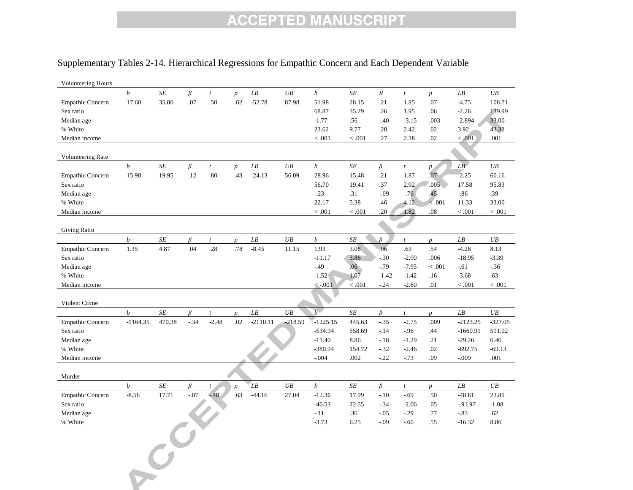#### Supplementary Tables 2-14. Hierarchical Regressions for Empathic Concern and Each Dependent Variable

| <b>Volunteering Hours</b> |                       |           |         |                  |                  |                            |           |                  |           |                  |                  |                  |                 |             |
|---------------------------|-----------------------|-----------|---------|------------------|------------------|----------------------------|-----------|------------------|-----------|------------------|------------------|------------------|-----------------|-------------|
|                           | $\boldsymbol{b}$      | SE        | B       | $\mathfrak{t}$   | $\boldsymbol{p}$ | $\overline{L}$             | UB        | $\boldsymbol{b}$ | SE        | $\boldsymbol{B}$ | $\boldsymbol{t}$ | $\boldsymbol{p}$ | ${\it LB}$      | UB          |
| <b>Empathic Concern</b>   | 17.60                 | 35.00     | .07     | .50              | .62              | $-52.78$                   | 87.98     | 51.98            | 28.15     | .21              | 1.85             | .07              | $-4.75$         | 108.71      |
| Sex ratio                 |                       |           |         |                  |                  |                            |           | 68.87            | 35.29     | .26              | 1.95             | .06              | $-2.26$         | 139.99      |
| Median age                |                       |           |         |                  |                  |                            |           | $-1.77$          | .56       | $-.40$           | $-3.15$          | .003             | $-2.894$        | 33.00       |
| % White                   |                       |           |         |                  |                  |                            |           | 23.62            | 9.77      | .28              | 2.42             | .02              | 3.92            | 43.32       |
| Median income             |                       |           |         |                  |                  |                            |           | < .001           | < .001    | .27              | 2.38             | .02              | < .001          | .001        |
|                           |                       |           |         |                  |                  |                            |           |                  |           |                  |                  |                  |                 |             |
| Volunteering Rate         |                       |           |         |                  |                  |                            |           |                  |           |                  |                  |                  |                 |             |
|                           | $\boldsymbol{b}$      | SE        | $\beta$ | $\mathfrak{t}$   | $\boldsymbol{p}$ | LB                         | UB        | $\boldsymbol{b}$ | SE        | $\beta$          | $\mathfrak{t}$   | $p_{\perp}$      | $\overline{LB}$ | UB          |
| <b>Empathic Concern</b>   | 15.98                 | 19.95     | .12     | .80              | .43              | $-24.13$                   | 56.09     | 28.96            | 15.48     | .21              | 1.87             | .07              | $-2.25$         | 60.16       |
| Sex ratio                 |                       |           |         |                  |                  |                            |           | 56.70            | 19.41     | .37              | 2.92             | .005             | 17.58           | 95.83       |
| Median age                |                       |           |         |                  |                  |                            |           | $-.23$           | .31       | $-.09$           | $-76$            | 45               | $-86$           | .39         |
| % White                   |                       |           |         |                  |                  |                            |           | 22.17            | 5.38      | .46              | 4.12             | $<.001$          | 11.33           | 33.00       |
| Median income             |                       |           |         |                  |                  |                            |           | < .001           | < 0.001   | .20              | 1.82             | .08              | < .001          | $\leq .001$ |
| Giving Ratio              |                       |           |         |                  |                  |                            |           |                  |           |                  |                  |                  |                 |             |
|                           | $\boldsymbol{b}$      | SE        | $\beta$ | t                | $\boldsymbol{p}$ | LB                         | $U\!B$    | $\boldsymbol{b}$ | SE        | $\beta$          | $\boldsymbol{t}$ | $p_{\perp}$      | ${\it LB}$      | UB          |
| <b>Empathic Concern</b>   | 1.35                  | 4.87      | .04     | .28              | .78              | $-8.45$                    | 11.15     | 1.93             | 3.08      | .06              | .63              | .54              | $-4.28$         | 8.13        |
| Sex ratio                 |                       |           |         |                  |                  |                            |           | $-11.17$         | 3.86      | $-30$            | $-2.90$          | .006             | $-18.95$        | $-3.39$     |
| Median age                |                       |           |         |                  |                  |                            |           | $-.49$           | .06       | $-79$            | $-7.95$          | < .001           | $-.61$          | $-36$       |
| % White                   |                       |           |         |                  |                  |                            |           | $-1.52$          | 1.07      | $-1.42$          | $-1.42$          | .16              | $-3.68$         | .63         |
| Median income             |                       |           |         |                  |                  |                            |           | $\leq -0.01$     | $<.001$   | $-24$            | $-2.60$          | .01              | < 0.001         | < .001      |
|                           |                       |           |         |                  |                  |                            |           |                  |           |                  |                  |                  |                 |             |
| Violent Crime             |                       |           |         |                  |                  |                            |           |                  |           |                  |                  |                  |                 |             |
|                           | $\boldsymbol{b}$      | SE        | $\beta$ | $\boldsymbol{t}$ | $\boldsymbol{p}$ | $\overline{L}\overline{B}$ | UB        | $\overline{b}$   | $\cal SE$ | $\beta$          | $\mathfrak{t}$   | $\overline{p}$   | ${\it LB}$      | UB          |
| <b>Empathic Concern</b>   | $-1164.35$            | 470.38    | $-34$   | $-2.48$          | .02              | $-2110.11$                 | $-218.59$ | $-1225.15$       | 445.63    | $-35$            | $-2.75$          | .009             | $-2123.25$      | $-327.05$   |
| Sex ratio                 |                       |           |         |                  |                  |                            |           | $-534.94$        | 558.69    | $-.14$           | $-.96$           | .44              | $-1660.91$      | 591.02      |
| Median age                |                       |           |         |                  |                  |                            |           | $-11.40$         | 8.86      | $-18$            | $-1.29$          | .21              | $-29.26$        | 6.46        |
| % White                   |                       |           |         |                  |                  |                            |           | $-380.94$        | 154.72    | $-32$            | $-2.46$          | .02              | $-692.75$       | $-69.13$    |
| Median income             |                       |           |         |                  |                  |                            |           | $-.004$          | .002      | $-.22$           | $-73$            | .09              | $-0.09$         | .001        |
|                           |                       |           |         |                  |                  |                            |           |                  |           |                  |                  |                  |                 |             |
| Murder                    |                       |           |         |                  |                  |                            |           |                  |           |                  |                  |                  |                 |             |
|                           | $\boldsymbol{b}$      | $\cal SE$ | $\beta$ | $\mathfrak{t}$   | $\overline{p}$   | LB                         | UB        | $\boldsymbol{b}$ | SE        | $\beta$          | $\boldsymbol{t}$ | $p_{\parallel}$  | LB              | UB          |
| <b>Empathic Concern</b>   | $-8.56$               | 17.71     | $-.07$  | $-48$            | .63              | $-44.16$                   | 27.04     | $-12.36$         | 17.99     | $-.10$           | $-.69$           | .50              | $-48.61$        | 23.89       |
| Sex ratio                 |                       |           |         |                  |                  |                            |           | $-46.53$         | 22.55     | $-34$            | $-2.06$          | .05              | $-91.97$        | $-1.08$     |
| Median age                |                       |           |         |                  |                  |                            |           | $-.11$           | .36       | $-0.5$           | $-.29$           | .77              | $-.83$          | .62         |
| % White                   |                       |           |         |                  |                  |                            |           | $-3.73$          | 6.25      | $-0.09$          | $-60$            | .55              | $-16.32$        | 8.86        |
|                           |                       |           |         |                  |                  |                            |           |                  |           |                  |                  |                  |                 |             |
|                           | $\mathcal{L}^{C^{k}}$ |           |         |                  |                  |                            |           |                  |           |                  |                  |                  |                 |             |
|                           |                       |           |         |                  |                  |                            |           |                  |           |                  |                  |                  |                 |             |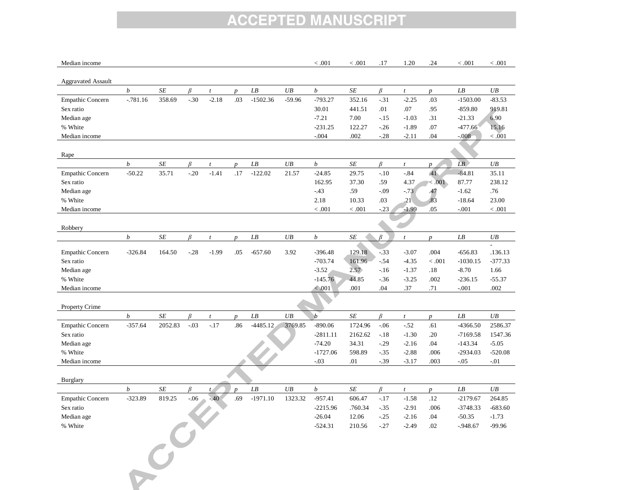| Median income             |                  |                      |         |                  |                         |                          |          | < 0.001          | < 0.001   | .17     | 1.20                      | .24                     | < .001                   | < .001    |
|---------------------------|------------------|----------------------|---------|------------------|-------------------------|--------------------------|----------|------------------|-----------|---------|---------------------------|-------------------------|--------------------------|-----------|
|                           |                  |                      |         |                  |                         |                          |          |                  |           |         |                           |                         |                          |           |
| <b>Aggravated Assault</b> |                  |                      |         |                  |                         |                          |          |                  |           |         |                           |                         |                          |           |
|                           | $\boldsymbol{b}$ | $\cal SE$            | $\beta$ | $\boldsymbol{t}$ | $\boldsymbol{p}$        | LB                       | $U\!B$   | $\boldsymbol{b}$ | $\cal SE$ | $\beta$ | $\boldsymbol{t}$          | $\overline{p}$          | ${\it LB}$               | UB        |
| <b>Empathic Concern</b>   | $-781.16$        | 358.69               | $-.30$  | $-2.18$          | .03                     | $-1502.36$               | $-59.96$ | $-793.27$        | 352.16    | $-.31$  | $-2.25$                   | .03                     | $-1503.00$               | $-83.53$  |
| Sex ratio                 |                  |                      |         |                  |                         |                          |          | 30.01            | 441.51    | .01     | .07                       | .95                     | $-859.80$                | 919.81    |
| Median age                |                  |                      |         |                  |                         |                          |          | $-7.21$          | 7.00      | $-15$   | $-1.03$                   | .31                     | $-21.33$                 | 6.90      |
| % White                   |                  |                      |         |                  |                         |                          |          | $-231.25$        | 122.27    | $-26$   | $-1.89$                   | .07                     | $-477.66$                | 15.16     |
| Median income             |                  |                      |         |                  |                         |                          |          | $-.004$          | .002      | $-28$   | $-2.11$                   | .04                     | $-008$                   | < 0.001   |
| Rape                      |                  |                      |         |                  |                         |                          |          |                  |           |         |                           |                         |                          |           |
|                           | $\boldsymbol{b}$ | $S\hspace{-0.08em}E$ | B       | $\boldsymbol{t}$ |                         | LB                       | UB       | $\boldsymbol{b}$ | SE        | $\beta$ |                           |                         | LB                       | UB        |
|                           | $-50.22$         |                      | $-.20$  | $-1.41$          | $\boldsymbol{p}$<br>.17 | $-122.02$                |          | $-24.85$         |           | $-.10$  | $\boldsymbol{t}$<br>$-84$ | $\boldsymbol{p}$<br>.41 | $-84.81$                 | 35.11     |
| <b>Empathic Concern</b>   |                  | 35.71                |         |                  |                         |                          | 21.57    |                  | 29.75     |         |                           |                         |                          |           |
| Sex ratio                 |                  |                      |         |                  |                         |                          |          | 162.95           | 37.30     | .59     | 4.37                      | < 0.001                 | 87.77                    | 238.12    |
| Median age                |                  |                      |         |                  |                         |                          |          | $-43$            | .59       | $-.09$  | $-.73$                    | .47                     | $-1.62$                  | .76       |
| % White                   |                  |                      |         |                  |                         |                          |          | 2.18             | 10.33     | .03     | .21 <sub>1</sub>          | .83                     | $-18.64$                 | 23.00     |
| Median income             |                  |                      |         |                  |                         |                          |          | < .001           | < 0.001   | $-23$   | $-1.99$                   | .05                     | $-.001$                  | < .001    |
|                           |                  |                      |         |                  |                         |                          |          |                  |           |         |                           |                         |                          |           |
| Robbery                   |                  |                      |         |                  |                         |                          |          |                  |           |         |                           |                         |                          |           |
|                           | $\boldsymbol{b}$ | $S\hspace{-0.08em}E$ | B       | $\boldsymbol{t}$ | $\boldsymbol{p}$        | $\mathcal{L}\mathcal{B}$ | $U\!B$   | $\boldsymbol{b}$ | SE        | $\beta$ | $\boldsymbol{t}$          | $\boldsymbol{p}$        | $\mathcal{L}\mathcal{B}$ | UB        |
| <b>Empathic Concern</b>   | $-326.84$        | 164.50               | $-.28$  | $-1.99$          | .05                     | $-657.60$                | 3.92     | $-396.48$        | 129.18    | $-33$   | $-3.07$                   | .004                    | $-656.83$                | .136.13   |
| Sex ratio                 |                  |                      |         |                  |                         |                          |          | $-703.74$        | 161.96    | $-.54$  | $-4.35$                   | < .001                  | $-1030.15$               | $-377.33$ |
| Median age                |                  |                      |         |                  |                         |                          |          | $-3.52$          | 2.57      | $-16$   | $-1.37$                   | .18                     | $-8.70$                  | 1.66      |
| % White                   |                  |                      |         |                  |                         |                          |          | $-145.76$        | 44.85     | $-36$   | $-3.25$                   | .002                    | $-236.15$                | $-55.37$  |
| Median income             |                  |                      |         |                  |                         |                          |          | < .001           | .001      | .04     | .37                       | .71                     | $-.001$                  | .002      |
|                           |                  |                      |         |                  |                         |                          |          |                  |           |         |                           |                         |                          |           |
| Property Crime            |                  |                      |         |                  |                         |                          |          |                  |           |         |                           |                         |                          |           |
|                           | $\boldsymbol{b}$ |                      |         |                  |                         |                          | UB       | $\boldsymbol{b}$ | SE        |         |                           |                         |                          | UB        |
|                           |                  | $\cal SE$            | β       | t                | $\boldsymbol{p}$        | $\mathcal{L}\mathcal{B}$ |          |                  |           | $\beta$ | t                         | $\overline{p}$          | ${\it LB}$               |           |
| <b>Empathic Concern</b>   | $-357.64$        | 2052.83              | $-.03$  | $-.17$           | .86                     | $-4485.12$               | 3769.85  | $-890.06$        | 1724.96   | $-06$   | $-.52$                    | .61                     | -4366.50                 | 2586.37   |
| Sex ratio                 |                  |                      |         |                  |                         |                          |          | $-2811.11$       | 2162.62   | $-.18$  | $-1.30$                   | .20                     | $-7169.58$               | 1547.36   |
| Median age                |                  |                      |         |                  |                         |                          |          | $-74.20$         | 34.31     | $-.29$  | $-2.16$                   | .04                     | $-143.34$                | $-5.05$   |
| % White                   |                  |                      |         |                  |                         |                          |          | $-1727.06$       | 598.89    | $-35$   | $-2.88$                   | .006                    | $-2934.03$               | $-520.08$ |
| Median income             |                  |                      |         |                  |                         |                          |          | $-0.03$          | .01       | $-0.39$ | $-3.17$                   | .003                    | $-0.05$                  | $-.01$    |
| Burglary                  |                  |                      |         |                  |                         |                          |          |                  |           |         |                           |                         |                          |           |
|                           | $\boldsymbol{b}$ | $S\hspace{-0.08em}E$ | β       | t                | $\boldsymbol{p}$        | $\mathcal{L}\mathcal{B}$ | $U\!B$   | $\boldsymbol{b}$ | SE        | $\beta$ | t                         | $p_{\perp}$             | ${\it LB}$               | UB        |
| <b>Empathic Concern</b>   | $-323.89$        | 819.25               | $-0.06$ | $-40$            | .69                     | $-1971.10$               | 1323.32  | $-957.41$        | 606.47    | $-.17$  | $-1.58$                   | .12                     | $-2179.67$               | 264.85    |
| Sex ratio                 |                  |                      |         |                  |                         |                          |          | $-2215.96$       | .760.34   | $-35$   | $-2.91$                   | .006                    | $-3748.33$               | $-683.60$ |
| Median age                |                  |                      |         |                  |                         |                          |          | $-26.04$         | 12.06     | $-25$   | $-2.16$                   | .04                     | $-50.35$                 | $-1.73$   |
| % White                   |                  |                      |         |                  |                         |                          |          | $-524.31$        | 210.56    | $-27$   | $-2.49$                   | .02                     | $-948.67$                | $-99.96$  |
|                           |                  | $\overrightarrow{C}$ |         |                  |                         |                          |          |                  |           |         |                           |                         |                          |           |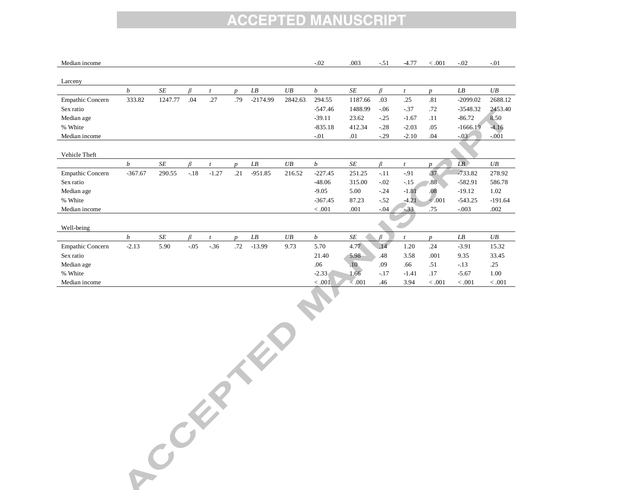| Median income           |           |                      |        |                |                  |                          |         | $-.02$           | .003         | $-.51$ | $-4.77$ | < .001           | $-.02$                   | $-.01$    |
|-------------------------|-----------|----------------------|--------|----------------|------------------|--------------------------|---------|------------------|--------------|--------|---------|------------------|--------------------------|-----------|
| Larceny                 |           |                      |        |                |                  |                          |         |                  |              |        |         |                  |                          |           |
|                         | b         | <b>SE</b>            | R      |                | $\boldsymbol{D}$ | LB                       | UB      | b                | $\cal SE$    | R      |         | $\boldsymbol{D}$ | LB                       | UB        |
| Empathic Concern        | 333.82    | 1247.77              | .04    | .27            | .79              | $-2174.99$               | 2842.63 | 294.55           | 1187.66      | .03    | .25     | .81              | $-2099.02$               | 2688.12   |
| Sex ratio               |           |                      |        |                |                  |                          |         | $-547.46$        | 1488.99      | $-06$  | $-.37$  | .72              | $-3548.32$               | 2453.40   |
| Median age              |           |                      |        |                |                  |                          |         | $-39.11$         | 23.62        | $-25$  | $-1.67$ | .11              | $-86.72$                 | 8.50      |
| % White                 |           |                      |        |                |                  |                          |         | $-835.18$        | 412.34       | $-.28$ | $-2.03$ | .05              | $-1666.19$               | $-4.16$   |
| Median income           |           |                      |        |                |                  |                          |         | $-.01$           | .01          | $-.29$ | $-2.10$ | .04              | $-03$                    | $-.001$   |
|                         |           |                      |        |                |                  |                          |         |                  |              |        |         |                  |                          |           |
| Vehicle Theft           |           |                      |        |                |                  |                          |         |                  |              |        |         |                  |                          |           |
|                         | b         | <b>SE</b>            | R      | $\overline{t}$ | $\boldsymbol{n}$ | $\mathcal{L}\mathcal{B}$ | UB      | $\boldsymbol{b}$ | <b>SE</b>    | R      |         | $\boldsymbol{v}$ | LB                       | UB        |
| <b>Empathic Concern</b> | $-367.67$ | 290.55               | $-.18$ | $-1.27$        | .21              | $-951.85$                | 216.52  | $-227.45$        | 251.25       | $-.11$ | $-.91$  | 37               | $-733.82$                | 278.92    |
| Sex ratio               |           |                      |        |                |                  |                          |         | $-48.06$         | 315.00       | $-.02$ | $-.15$  | .88              | $-582.91$                | 586.78    |
| Median age              |           |                      |        |                |                  |                          |         | $-9.05$          | 5.00         | $-.24$ | $-1.81$ | .08              | $-19.12$                 | 1.02      |
| % White                 |           |                      |        |                |                  |                          |         | $-367.45$        | 87.23        | $-.52$ | $-4.21$ | < .001           | $-543.25$                | $-191.64$ |
| Median income           |           |                      |        |                |                  |                          |         | < 0.001          | .001         | $-.04$ | $-33$   | .75              | $-.003$                  | .002      |
|                         |           |                      |        |                |                  |                          |         |                  |              |        |         |                  |                          |           |
| Well-being              |           |                      |        |                |                  |                          |         |                  |              |        |         |                  |                          |           |
|                         | b         | $S\hspace{-0.08em}E$ | B      | $\mathbf{t}$   | $\boldsymbol{D}$ | LB                       | UB      | b                | SE           |        |         | $\boldsymbol{D}$ | $\mathcal{L}\mathcal{B}$ | UB        |
| <b>Empathic Concern</b> | $-2.13$   | 5.90                 | $-.05$ | $-36$          | .72              | $-13.99$                 | 9.73    | 5.70             | 4.77         | .14    | 1.20    | .24              | $-3.91$                  | 15.32     |
| Sex ratio               |           |                      |        |                |                  |                          |         | 21.40            | 5.98         | .48    | 3.58    | .001             | 9.35                     | 33.45     |
| Median age              |           |                      |        |                |                  |                          |         | .06              | .10.         | .09    | .66     | .51              | $-.13$                   | .25       |
| % White                 |           |                      |        |                |                  |                          |         | $-2.33$          | 1.66         | $-.17$ | $-1.41$ | .17              | $-5.67$                  | 1.00      |
| Median income           |           |                      |        |                |                  |                          |         | < .001           | $\leq 0.001$ | .46    | 3.94    | < .001           | < .001                   | < .001    |

 $\frac{1000}{1000}$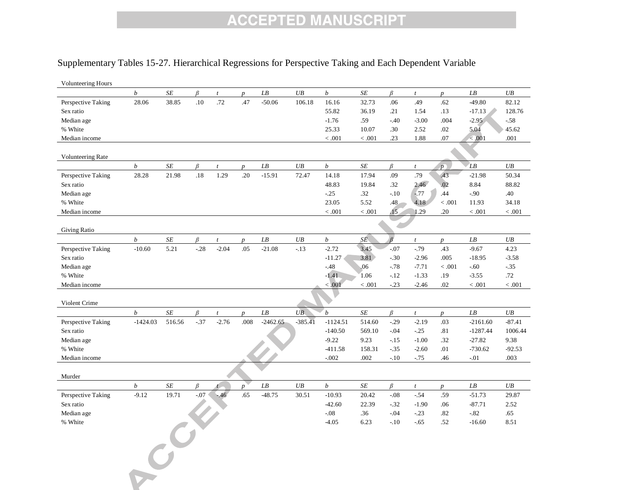#### Supplementary Tables 15-27. Hierarchical Regressions for Perspective Taking and Each Dependent Variable

| Volunteering Hours       |                  |           |         |                  |                  |                          |           |                  |           |                |                  |                  |                          |           |
|--------------------------|------------------|-----------|---------|------------------|------------------|--------------------------|-----------|------------------|-----------|----------------|------------------|------------------|--------------------------|-----------|
|                          | $\boldsymbol{b}$ | SE        | B       | $\mathfrak{t}$   | $\boldsymbol{p}$ | $\mathcal{L}\mathcal{B}$ | UB        | $\boldsymbol{b}$ | $\cal SE$ | $\beta$        | $\boldsymbol{t}$ | $\boldsymbol{p}$ | $\mathcal{L}\mathcal{B}$ | UB        |
| Perspective Taking       | 28.06            | 38.85     | $.10\,$ | .72              | .47              | $-50.06$                 | 106.18    | 16.16            | 32.73     | .06            | .49              | .62              | $-49.80$                 | 82.12     |
| Sex ratio                |                  |           |         |                  |                  |                          |           | 55.82            | 36.19     | .21            | 1.54             | .13              | $-17.13$                 | 128.76    |
| Median age               |                  |           |         |                  |                  |                          |           | $-1.76$          | .59       | $-.40$         | $-3.00$          | .004             | $-2.95$                  | $-58$     |
| % White                  |                  |           |         |                  |                  |                          |           | 25.33            | 10.07     | .30            | 2.52             | .02              | 5.04                     | 45.62     |
| Median income            |                  |           |         |                  |                  |                          |           | < .001           | < .001    | .23            | 1.88             | .07              | < .001                   | .001      |
|                          |                  |           |         |                  |                  |                          |           |                  |           |                |                  |                  |                          |           |
| <b>Volunteering Rate</b> |                  |           |         |                  |                  |                          |           |                  |           |                |                  |                  |                          |           |
|                          | $\boldsymbol{b}$ | $\cal SE$ | $\beta$ | $\boldsymbol{t}$ | $\boldsymbol{p}$ | ${\cal L} {\cal B}$      | $U\!B$    | $\boldsymbol{b}$ | SE        | B              | $\boldsymbol{t}$ | p                | LB                       | UB        |
| Perspective Taking       | 28.28            | 21.98     | $.18\,$ | 1.29             | .20              | $-15.91$                 | 72.47     | 14.18            | 17.94     | .09            | .79              | .43              | $-21.98$                 | 50.34     |
| Sex ratio                |                  |           |         |                  |                  |                          |           | 48.83            | 19.84     | .32            | 2.46             | .02              | 8.84                     | 88.82     |
| Median age               |                  |           |         |                  |                  |                          |           | $-.25$           | .32       | $-.10$         | $-77$            | .44              | $-.90$                   | .40       |
| % White                  |                  |           |         |                  |                  |                          |           | 23.05            | 5.52      | .48            | 4.18             | $<.001$          | 11.93                    | 34.18     |
| Median income            |                  |           |         |                  |                  |                          |           | $<.001$          | $<.001\,$ | .15            | 1.29             | .20              | $<.001$                  | $<.001\,$ |
|                          |                  |           |         |                  |                  |                          |           |                  |           |                |                  |                  |                          |           |
| Giving Ratio             |                  |           |         |                  |                  |                          |           |                  |           | $\overline{B}$ |                  |                  |                          |           |
|                          | $\boldsymbol{b}$ | SE        | $\beta$ | $\mathfrak{t}$   | $\boldsymbol{p}$ | ${\it LB}$               | $U\!B$    | $\boldsymbol{b}$ | SE        |                | $\boldsymbol{t}$ | $\boldsymbol{p}$ | LB                       | UB        |
| Perspective Taking       | $-10.60$         | 5.21      | $-.28$  | $-2.04$          | .05              | $-21.08$                 | $-13$     | $-2.72$          | 3.45      | $-.07$         | $-79$            | .43              | $-9.67$                  | 4.23      |
| Sex ratio                |                  |           |         |                  |                  |                          |           | $-11.27$         | 3.81      | $-.30$         | $-2.96$          | .005             | $-18.95$                 | $-3.58$   |
| Median age               |                  |           |         |                  |                  |                          |           | $-48$            | .06       | $-78$          | $-7.71$          | < .001           | $-.60$                   | $-.35$    |
| % White                  |                  |           |         |                  |                  |                          |           | $-1.41$          | 1.06      | $-12$          | $-1.33$          | .19              | $-3.55$                  | .72       |
| Median income            |                  |           |         |                  |                  |                          |           | < 0.001          | $<.001\,$ | $-23$          | $-2.46$          | .02              | < .001                   | < .001    |
|                          |                  |           |         |                  |                  |                          |           |                  |           |                |                  |                  |                          |           |
| Violent Crime            | $\boldsymbol{b}$ | $\cal SE$ |         |                  |                  |                          | UB        | $\boldsymbol{b}$ | $\cal SE$ |                |                  |                  |                          | UB        |
|                          |                  |           | $\beta$ | $\boldsymbol{t}$ | $\boldsymbol{p}$ | ${\cal L} {\cal B}$      |           |                  |           | $\beta$        | $\boldsymbol{t}$ | $\boldsymbol{p}$ | ${\cal L} {\cal B}$      |           |
| Perspective Taking       | $-1424.03$       | 516.56    | $-37$   | $-2.76$          | .008             | $-2462.65$               | $-385.41$ | $-1124.51$       | 514.60    | $-.29$         | $-2.19$          | .03              | $-2161.60$               | $-87.41$  |
| Sex ratio                |                  |           |         |                  |                  |                          |           | $-140.50$        | 569.10    | $-.04$         | $-0.25$          | .81              | $-1287.44$               | 1006.44   |
| Median age               |                  |           |         |                  |                  |                          |           | $-9.22$          | 9.23      | $-.15$         | $-1.00$          | .32              | $-27.82$                 | 9.38      |
| % White                  |                  |           |         |                  |                  |                          |           | $-411.58$        | 158.31    | $-.35$         | $-2.60$          | .01              | $-730.62$                | $-92.53$  |
| Median income            |                  |           |         |                  |                  |                          |           | $-0.002$         | .002      | $-.10$         | $-75$            | .46              | $-.01$                   | .003      |
|                          |                  |           |         |                  |                  |                          |           |                  |           |                |                  |                  |                          |           |
| Murder                   | $\boldsymbol{b}$ | SE        |         |                  |                  |                          |           |                  |           |                |                  |                  |                          |           |
|                          |                  |           | $\beta$ | $\mathbf{t}$     | $\boldsymbol{p}$ | $\mathcal{L}\mathcal{B}$ | UB        | $\boldsymbol{b}$ | SE        | β              | $\mathfrak{t}$   | $\boldsymbol{p}$ | $\mathcal{L}\mathcal{B}$ | UB        |
| Perspective Taking       | $-9.12$          | 19.71     | $-.07$  | $-46$            | .65              | $-48.75$                 | 30.51     | $-10.93$         | 20.42     | $-.08$         | $-54$            | .59              | $-51.73$                 | 29.87     |
| Sex ratio                |                  |           |         |                  |                  |                          |           | $-42.60$         | 22.39     | $-32$          | $-1.90$          | .06              | $-87.71$                 | 2.52      |
| Median age               |                  |           |         |                  |                  |                          |           | $-0.08$          | .36       | $-.04$         | $-23$            | .82              | $-0.82$                  | .65       |
| % White                  |                  |           |         |                  |                  |                          |           | $-4.05$          | 6.23      | $-10$          | $-.65$           | .52              | $-16.60$                 | 8.51      |
|                          |                  |           |         |                  |                  |                          |           |                  |           |                |                  |                  |                          |           |
|                          |                  |           |         |                  |                  |                          |           |                  |           |                |                  |                  |                          |           |
|                          |                  |           |         |                  |                  |                          |           |                  |           |                |                  |                  |                          |           |
|                          |                  |           |         |                  |                  |                          |           |                  |           |                |                  |                  |                          |           |
|                          |                  |           |         |                  |                  |                          |           |                  |           |                |                  |                  |                          |           |
|                          |                  |           |         |                  |                  |                          |           |                  |           |                |                  |                  |                          |           |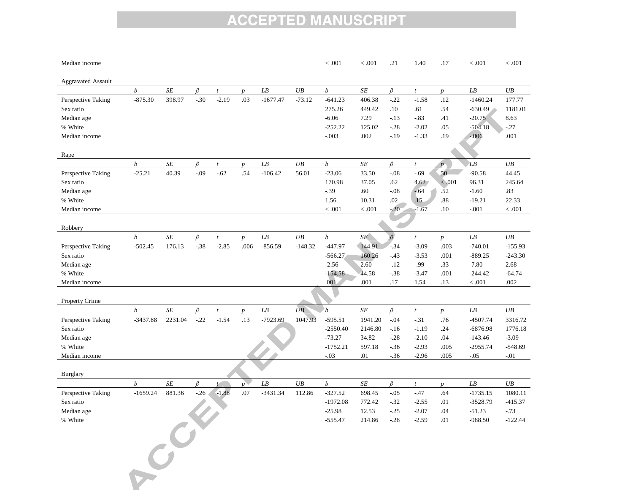| Median income             |                  |           |         |                             |                         |                     |                 | < 0.001          | < .001    | .21            | 1.40                       | .17                    | < 0.001             | < 0.001   |
|---------------------------|------------------|-----------|---------|-----------------------------|-------------------------|---------------------|-----------------|------------------|-----------|----------------|----------------------------|------------------------|---------------------|-----------|
|                           |                  |           |         |                             |                         |                     |                 |                  |           |                |                            |                        |                     |           |
| <b>Aggravated Assault</b> |                  |           |         |                             |                         |                     |                 |                  |           |                |                            |                        |                     |           |
|                           | $\boldsymbol{b}$ | $\cal SE$ | $\beta$ | $\boldsymbol{t}$            | $\boldsymbol{p}$        | ${\cal L} {\cal B}$ | $U\!B$          | $\boldsymbol{b}$ | $SE\!$    | $\beta$        | $\boldsymbol{t}$           | $p_{\parallel}$        | ${\cal L} {\cal B}$ | UB        |
| Perspective Taking        | $-875.30$        | 398.97    | $-30$   | $-2.19$                     | .03                     | $-1677.47$          | $-73.12$        | $-641.23$        | 406.38    | $-.22$         | $-1.58$                    | .12                    | $-1460.24$          | 177.77    |
| Sex ratio                 |                  |           |         |                             |                         |                     |                 | 275.26           | 449.42    | .10            | .61                        | .54                    | $-630.49$           | 1181.01   |
| Median age                |                  |           |         |                             |                         |                     |                 | $-6.06$          | 7.29      | $-.13$         | $-83$                      | .41                    | $-20.75$            | 8.63      |
| % White                   |                  |           |         |                             |                         |                     |                 | $-252.22$        | 125.02    | $-.28$         | $-2.02$                    | .05                    | $-504.18$           | $-.27$    |
| Median income             |                  |           |         |                             |                         |                     |                 | $-.003$          | .002      | $-19$          | $-1.33$                    | .19                    | $-0.006$            | .001      |
| Rape                      |                  |           |         |                             |                         |                     |                 |                  |           |                |                            |                        |                     |           |
|                           | $\boldsymbol{b}$ | $\cal SE$ | $\beta$ | $\boldsymbol{t}$            | $\boldsymbol{p}$        | LB                  | UB              | $\boldsymbol{b}$ | $SE\!$    | $\beta$        | $\boldsymbol{t}$           | $p_{\Box}$             | LB                  | UB        |
| Perspective Taking        | $-25.21$         | 40.39     | $-.09$  | $-.62$                      | .54                     | $-106.42$           | 56.01           | $-23.06$         | 33.50     | $-.08$         | $-0.69$                    | 50                     | $-90.58$            | 44.45     |
| Sex ratio                 |                  |           |         |                             |                         |                     |                 | 170.98           | 37.05     | .62            | 4.62                       | < .001                 | 96.31               | 245.64    |
| Median age                |                  |           |         |                             |                         |                     |                 | $-39$            | .60       | $-.08$         | $-64$                      | .52                    | $-1.60$             | .83       |
| % White                   |                  |           |         |                             |                         |                     |                 | 1.56             | 10.31     | .02            | .15                        | .88                    | $-19.21$            | 22.33     |
| Median income             |                  |           |         |                             |                         |                     |                 | $<.001$          | $<.001\,$ | $-20$          | $-1.67$                    | .10                    | $-.001$             | $<.001$   |
|                           |                  |           |         |                             |                         |                     |                 |                  |           |                |                            |                        |                     |           |
| Robbery                   |                  |           |         |                             |                         |                     |                 |                  |           |                |                            |                        |                     |           |
|                           | b                | SE        | β       | $\boldsymbol{t}$            | $\boldsymbol{D}$        | ${\cal L}{\cal B}$  | UB              | $\boldsymbol{b}$ | SE        | $\overline{B}$ | $\boldsymbol{t}$           | $\boldsymbol{p}$       | ${\cal L} {\cal B}$ | UB        |
| Perspective Taking        | $-502.45$        | 176.13    | $-38$   | $-2.85$                     | .006                    | $-856.59$           | $-148.32$       | $-447.97$        | 144.91    | $-34$          | $-3.09$                    | .003                   | $-740.01$           | $-155.93$ |
| Sex ratio                 |                  |           |         |                             |                         |                     |                 | $-566.27$        | 160.26    | $-43$          | $-3.53$                    | .001                   | $-889.25$           | $-243.30$ |
| Median age                |                  |           |         |                             |                         |                     |                 | $-2.56$          | 2.60      | $-12$          | $-0.99$                    | .33                    | $-7.80$             | 2.68      |
| % White                   |                  |           |         |                             |                         |                     |                 | $-154.58$        | 44.58     | $-38$          | $-3.47$                    | .001                   | $-244.42$           | $-64.74$  |
| Median income             |                  |           |         |                             |                         |                     |                 | .001             | .001      | .17            | 1.54                       | .13                    | $<.001\,$           | .002      |
|                           |                  |           |         |                             |                         |                     |                 |                  |           |                |                            |                        |                     |           |
| Property Crime            | $\boldsymbol{b}$ | $\cal SE$ | β       |                             |                         | ${\cal L}{\cal B}$  | $\overline{UB}$ | $\boldsymbol{b}$ | $\cal SE$ | β              |                            |                        | ${\it LB}$          | UB        |
| Perspective Taking        | $-3437.88$       | 2231.04   | $-.22$  | $\boldsymbol{t}$<br>$-1.54$ | $\boldsymbol{p}$<br>.13 | $-7923.69$          | 1047.93         | $-595.51$        | 1941.20   | $-.04$         | $\boldsymbol{t}$<br>$-.31$ | $p_{\parallel}$<br>.76 | -4507.74            | 3316.72   |
| Sex ratio                 |                  |           |         |                             |                         |                     |                 | $-2550.40$       | 2146.80   | $-16$          | $-1.19$                    | .24                    | $-6876.98$          | 1776.18   |
| Median age                |                  |           |         |                             |                         |                     |                 | $-73.27$         | 34.82     | $-.28$         | $-2.10$                    | .04                    | $-143.46$           | $-3.09$   |
| % White                   |                  |           |         |                             |                         |                     |                 | $-1752.21$       | 597.18    | $-36$          | $-2.93$                    | .005                   | $-2955.74$          | $-548.69$ |
| Median income             |                  |           |         |                             |                         |                     |                 | $-.03$           | .01       | $-.36$         | $-2.96$                    | .005                   | $-.05$              | $-.01$    |
|                           |                  |           |         |                             |                         |                     |                 |                  |           |                |                            |                        |                     |           |
| <b>Burglary</b>           |                  |           |         |                             |                         |                     |                 |                  |           |                |                            |                        |                     |           |
|                           | b                | $\cal SE$ | β       | t                           | $p^{\mathcal{A}}$       | ${\cal L}{\cal B}$  | UB              | $\boldsymbol{b}$ | $\cal SE$ | $\beta$        | $\boldsymbol{t}$           | $p_{\parallel}$        | ${\cal L} {\cal B}$ | UB        |
| Perspective Taking        | $-1659.24$       | 881.36    | $-26$   | $-1.88$                     | .07                     | $-3431.34$          | 112.86          | $-327.52$        | 698.45    | $-.05$         | $-47$                      | .64                    | $-1735.15$          | 1080.11   |
| Sex ratio                 |                  |           |         |                             |                         |                     |                 | $-1972.08$       | 772.42    | $-32$          | $-2.55$                    | .01                    | $-3528.79$          | $-415.37$ |
| Median age                |                  |           |         |                             |                         |                     |                 | $-25.98$         | 12.53     | $-.25$         | $-2.07$                    | .04                    | $-51.23$            | $-.73$    |
| % White                   |                  |           |         |                             |                         |                     |                 | $-555.47$        | 214.86    | $-.28$         | $-2.59$                    | .01                    | $-988.50$           | $-122.44$ |
|                           |                  |           |         |                             |                         |                     |                 |                  |           |                |                            |                        |                     |           |
|                           |                  |           |         |                             |                         |                     |                 |                  |           |                |                            |                        |                     |           |
|                           |                  |           |         |                             |                         |                     |                 |                  |           |                |                            |                        |                     |           |
|                           | $\epsilon^C$     |           |         |                             |                         |                     |                 |                  |           |                |                            |                        |                     |           |
|                           |                  |           |         |                             |                         |                     |                 |                  |           |                |                            |                        |                     |           |
|                           |                  |           |         |                             |                         |                     |                 |                  |           |                |                            |                        |                     |           |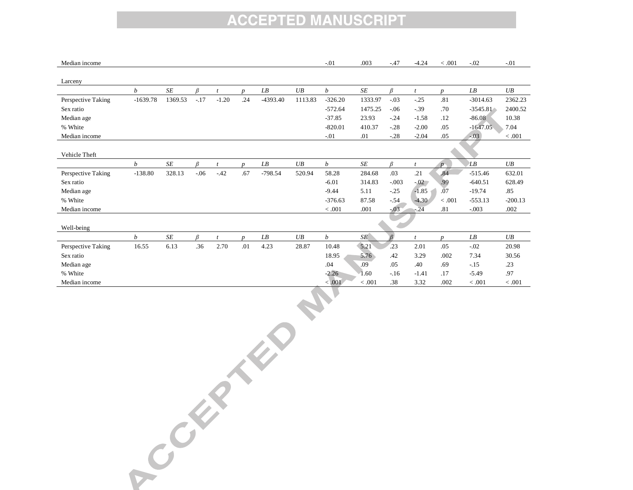| Median income      |                  |           |         |                |                  |           |         | $-.01$           | .003                 | $-47$   | $-4.24$      | < 0.001          | $-.02$     | $-.01$    |
|--------------------|------------------|-----------|---------|----------------|------------------|-----------|---------|------------------|----------------------|---------|--------------|------------------|------------|-----------|
|                    |                  |           |         |                |                  |           |         |                  |                      |         |              |                  |            |           |
| Larceny            |                  |           |         |                |                  |           |         |                  |                      |         |              |                  |            |           |
|                    | b                | $\cal SE$ | β       |                | $\boldsymbol{D}$ | LB        | UB      | $\boldsymbol{b}$ | $S\hspace{-0.08em}E$ | R       |              | $\boldsymbol{D}$ | LB         | UB        |
| Perspective Taking | $-1639.78$       | 1369.53   | $-.17$  | $-1.20$        | .24              | -4393.40  | 1113.83 | $-326.20$        | 1333.97              | $-.03$  | $-25$        | .81              | $-3014.63$ | 2362.23   |
| Sex ratio          |                  |           |         |                |                  |           |         | $-572.64$        | 1475.25              | $-.06$  | $-39$        | .70              | $-3545.81$ | 2400.52   |
| Median age         |                  |           |         |                |                  |           |         | $-37.85$         | 23.93                | $-.24$  | $-1.58$      | .12              | $-86.08$   | 10.38     |
| % White            |                  |           |         |                |                  |           |         | $-820.01$        | 410.37               | $-.28$  | $-2.00$      | .05              | $-1647.05$ | 7.04      |
| Median income      |                  |           |         |                |                  |           |         | $-01$            | .01                  | $-.28$  | $-2.04$      | .05              | $-.03$     | < .001    |
|                    |                  |           |         |                |                  |           |         |                  |                      |         |              |                  |            |           |
| Vehicle Theft      |                  |           |         |                |                  |           |         |                  |                      |         |              |                  |            |           |
|                    | $\boldsymbol{b}$ | $\cal SE$ | ß       |                | $\boldsymbol{n}$ | LB        | UB      | b                | SE                   | R       |              | $\mathcal{D}$    | LB         | UB        |
| Perspective Taking | $-138.80$        | 328.13    | $-06$   | $-42$          | .67              | $-798.54$ | 520.94  | 58.28            | 284.68               | .03     | .21          | .84              | $-515.46$  | 632.01    |
| Sex ratio          |                  |           |         |                |                  |           |         | $-6.01$          | 314.83               | $-.003$ | $-02$        | .99              | $-640.51$  | 628.49    |
| Median age         |                  |           |         |                |                  |           |         | $-9.44$          | 5.11                 | $-.25$  | $-1.85$      | .07              | $-19.74$   | .85       |
| % White            |                  |           |         |                |                  |           |         | $-376.63$        | 87.58                | $-.54$  | $-4.30$      | < 0.001          | $-553.13$  | $-200.13$ |
| Median income      |                  |           |         |                |                  |           |         | < 0.001          | .001                 | $-03$   | $-.24$       | .81              | $-.003$    | .002      |
|                    |                  |           |         |                |                  |           |         |                  |                      |         |              |                  |            |           |
| Well-being         |                  |           |         |                |                  |           |         |                  |                      |         |              |                  |            |           |
|                    | $\boldsymbol{b}$ | $\cal SE$ | $\beta$ | $\mathfrak{t}$ | $\boldsymbol{n}$ | LB        | UB      | $\boldsymbol{b}$ | SE                   |         | $\mathbf{t}$ | $\boldsymbol{D}$ | LB         | UB        |
| Perspective Taking | 16.55            | 6.13      | .36     | 2.70           | .01              | 4.23      | 28.87   | 10.48            | 5.21                 | 23      | 2.01         | .05              | $-.02$     | 20.98     |
| Sex ratio          |                  |           |         |                |                  |           |         | 18.95            | 5.76                 | .42     | 3.29         | .002             | 7.34       | 30.56     |
| Median age         |                  |           |         |                |                  |           |         | .04              | .09                  | .05     | .40          | .69              | $-.15$     | .23       |
| % White            |                  |           |         |                |                  |           |         | $-2.26$          | 1.60                 | $-.16$  | $-1.41$      | .17              | $-5.49$    | .97       |
| Median income      |                  |           |         |                |                  |           |         | < 0.001          | < 0.001              | .38     | 3.32         | .002             | < .001     | < .001    |
|                    |                  |           |         |                |                  |           |         |                  |                      |         |              |                  |            |           |

Contractors of the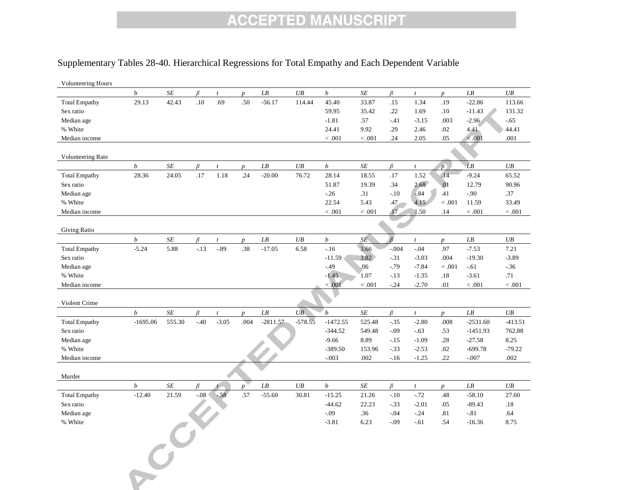#### Supplementary Tables 28-40. Hierarchical Regressions for Total Empathy and Each Dependent Variable

| <b>Volunteering Hours</b> |                  |           |         |                  |                  |                          |           |                  |                      |                |                  |                  |                          |          |
|---------------------------|------------------|-----------|---------|------------------|------------------|--------------------------|-----------|------------------|----------------------|----------------|------------------|------------------|--------------------------|----------|
|                           | $\boldsymbol{b}$ | $\cal SE$ | β       | $\boldsymbol{t}$ | $\boldsymbol{p}$ | $\mathcal{L}\mathcal{B}$ | UB        | $\boldsymbol{b}$ | $S\hspace{-0.08em}E$ | $\beta$        | $\boldsymbol{t}$ | $\boldsymbol{p}$ | $\mathcal{L}\mathcal{B}$ | UB       |
| <b>Total Empathy</b>      | 29.13            | 42.43     | .10     | .69              | .50              | $-56.17$                 | 114.44    | 45.40            | 33.87                | .15            | 1.34             | .19              | $-22.86$                 | 113.66   |
| Sex ratio                 |                  |           |         |                  |                  |                          |           | 59.95            | 35.42                | .22            | 1.69             | .10              | $-11.43$                 | 131.32   |
| Median age                |                  |           |         |                  |                  |                          |           | $-1.81$          | .57                  | $-41$          | $-3.15$          | .003             | $-2.96$                  | $-.65$   |
| % White                   |                  |           |         |                  |                  |                          |           | 24.41            | 9.92                 | .29            | 2.46             | .02              | 4.41                     | 44.41    |
| Median income             |                  |           |         |                  |                  |                          |           | < .001           | < .001               | .24            | 2.05             | .05              | < .001                   | .001     |
|                           |                  |           |         |                  |                  |                          |           |                  |                      |                |                  |                  |                          |          |
| <b>Volunteering Rate</b>  |                  |           |         |                  |                  |                          |           |                  |                      |                |                  |                  |                          |          |
|                           | $\boldsymbol{b}$ | SE        | $\beta$ | $\boldsymbol{t}$ | $\boldsymbol{p}$ | ${\cal L} {\cal B}$      | UB        | $\boldsymbol{b}$ | $SE\!$               | β              | $\boldsymbol{t}$ | p                | $\overrightarrow{L}B$    | $U\!B$   |
| <b>Total Empathy</b>      | 28.36            | 24.05     | .17     | 1.18             | .24              | $-20.00$                 | 76.72     | 28.14            | 18.55                | .17            | 1.52             | .14              | $-9.24$                  | 65.52    |
| Sex ratio                 |                  |           |         |                  |                  |                          |           | 51.87            | 19.39                | .34            | 2.68             | .01              | 12.79                    | 90.96    |
| Median age                |                  |           |         |                  |                  |                          |           | $-26$            | .31                  | $-.10$         | $-84$            | .41              | $-.90$                   | .37      |
| % White                   |                  |           |         |                  |                  |                          |           | 22.54            | 5.43                 | $.47 -$        | 4.15             | < .001           | 11.59                    | 33.49    |
| Median income             |                  |           |         |                  |                  |                          |           | < .001           | < .001               | .17            | 1.50             | .14              | $<.001$                  | < .001   |
|                           |                  |           |         |                  |                  |                          |           |                  |                      |                |                  |                  |                          |          |
| <b>Giving Ratio</b>       |                  |           |         |                  |                  |                          |           |                  |                      |                |                  |                  |                          |          |
|                           | $\boldsymbol{b}$ | SE        | $\beta$ | $\mathfrak{t}$   | $\boldsymbol{p}$ | ${\cal L} {\cal B}$      | UB        | $\boldsymbol{b}$ | SÉ.                  | $\overline{B}$ | $\mathfrak{t}$   | $p_{\parallel}$  | ${\it LB}$               | UB       |
| <b>Total Empathy</b>      | $-5.24$          | 5.88      | $-13$   | $-0.89$          | .38              | $-17.05$                 | 6.58      | $-16$            | 3.66                 | $-.004$        | $-0.04$          | .97              | $-7.53$                  | 7.21     |
| Sex ratio                 |                  |           |         |                  |                  |                          |           | $-11.59$         | 3.82                 | $-31$          | $-3.03$          | .004             | $-19.30$                 | $-3.89$  |
| Median age                |                  |           |         |                  |                  |                          |           | $-49$            | .06                  | $-79$          | $-7.84$          | < .001           | $-.61$                   | $-36$    |
| % White                   |                  |           |         |                  |                  |                          |           | $-1.45$          | 1.07                 | $-.13$         | $-1.35$          | .18              | $-3.61$                  | .71      |
| Median income             |                  |           |         |                  |                  |                          |           | < 0.001          | < 0.001              | $-0.24$        | $-2.70$          | .01              | < .001                   | < .001   |
|                           |                  |           |         |                  |                  |                          |           |                  |                      |                |                  |                  |                          |          |
| Violent Crime             |                  |           |         |                  |                  |                          |           |                  |                      |                |                  |                  |                          |          |
|                           | $\boldsymbol{b}$ | SE        | $\beta$ | $\boldsymbol{t}$ | $\boldsymbol{p}$ | ${\cal L} {\cal B}$      | UB        | $\boldsymbol{b}$ | SE                   | $\beta$        | $\boldsymbol{t}$ | $p_{\parallel}$  | ${\cal L} {\cal B}$      | UB       |
| <b>Total Empathy</b>      | $-1695.06$       | 555.30    | $-.40$  | $-3.05$          | .004             | $-2811.57$               | $-578.55$ | $-1472.55$       | 525.48               | $-35$          | $-2.80$          | .008             | $-2531.60$               | -413.51  |
| Sex ratio                 |                  |           |         |                  |                  |                          |           | $-344.52$        | 549.48               | $-.09$         | $-.63$           | .53              | $-1451.93$               | 762.88   |
| Median age                |                  |           |         |                  |                  |                          |           | $-9.66$          | 8.89                 | $-15$          | $-1.09$          | .28              | $-27.58$                 | 8.25     |
| % White                   |                  |           |         |                  |                  |                          |           | $-389.50$        | 153.96               | $-.33$         | $-2.53$          | .02              | $-699.78$                | $-79.22$ |
| Median income             |                  |           |         |                  |                  |                          |           | $-.003$          | .002                 | $-16$          | $-1.25$          | .22              | $-.007$                  | .002     |
|                           |                  |           |         |                  |                  |                          |           |                  |                      |                |                  |                  |                          |          |
| Murder                    |                  |           |         |                  |                  |                          |           |                  |                      |                |                  |                  |                          |          |
|                           | $\boldsymbol{b}$ | SE        | β       |                  | $\boldsymbol{p}$ | LB                       | UB        | $\boldsymbol{b}$ | SE                   | β              | $\boldsymbol{t}$ | $\boldsymbol{p}$ | LB                       | UB       |
| <b>Total Empathy</b>      | $-12.40$         | 21.59     | $-0.08$ | $-58$            | .57              | $-55.60$                 | 30.81     | $-15.25$         | 21.26                | $-.10$         | $-72$            | .48              | $-58.10$                 | 27.60    |
| Sex ratio                 |                  |           |         |                  |                  |                          |           | $-44.62$         | 22.23                | $-.33$         | $-2.01$          | .05              | $-89.43$                 | .18      |
| Median age                |                  |           |         |                  |                  |                          |           | $-0.09$          | .36                  | $-.04$         | $-0.24$          | .81              | $-81$                    | .64      |
| % White                   |                  |           |         |                  |                  |                          |           | $-3.81$          | 6.23                 | $-.09$         | $-.61$           | .54              | $-16.36$                 | 8.75     |
|                           |                  |           |         |                  |                  |                          |           |                  |                      |                |                  |                  |                          |          |
|                           |                  |           |         |                  |                  |                          |           |                  |                      |                |                  |                  |                          |          |
|                           |                  |           |         |                  |                  |                          |           |                  |                      |                |                  |                  |                          |          |
|                           |                  |           |         |                  |                  |                          |           |                  |                      |                |                  |                  |                          |          |
|                           |                  |           |         |                  |                  |                          |           |                  |                      |                |                  |                  |                          |          |
|                           |                  |           |         |                  |                  |                          |           |                  |                      |                |                  |                  |                          |          |
|                           |                  |           |         |                  |                  |                          |           |                  |                      |                |                  |                  |                          |          |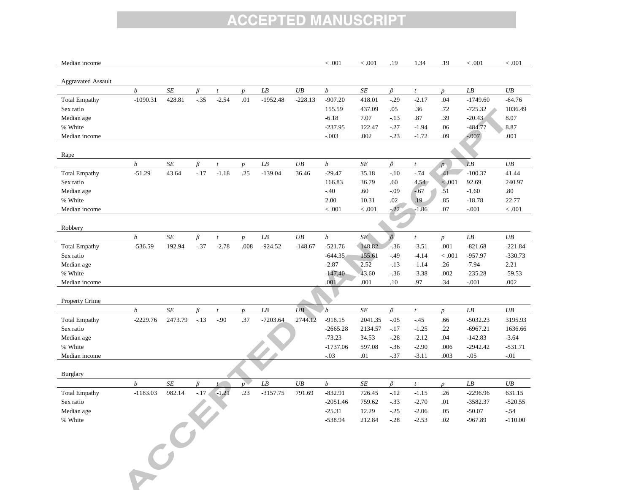| Median income             |                  |           |         |                  |                              |                     |                 | < .001           | < 0.001              | .19            | 1.34             | .19              | < .001                                 | < .001    |
|---------------------------|------------------|-----------|---------|------------------|------------------------------|---------------------|-----------------|------------------|----------------------|----------------|------------------|------------------|----------------------------------------|-----------|
|                           |                  |           |         |                  |                              |                     |                 |                  |                      |                |                  |                  |                                        |           |
| <b>Aggravated Assault</b> |                  |           |         |                  |                              |                     |                 |                  |                      |                |                  |                  |                                        |           |
|                           | $\boldsymbol{b}$ | SE        | $\beta$ | $\boldsymbol{t}$ | $\boldsymbol{p}$             | ${\cal L} {\cal B}$ | UB              | $\boldsymbol{b}$ | $S\hspace{-0.08em}E$ | $\beta$        | $\boldsymbol{t}$ | $p_{\parallel}$  | $\mathcal{L}\mathcal{B}$<br>$-1749.60$ | UB        |
| <b>Total Empathy</b>      | $-1090.31$       | 428.81    | $-.35$  | $-2.54$          | .01                          | $-1952.48$          | $-228.13$       | $-907.20$        | 418.01               | $-.29$         | $-2.17$          | .04              |                                        | $-64.76$  |
| Sex ratio                 |                  |           |         |                  |                              |                     |                 | 155.59           | 437.09               | .05            | .36              | .72              | $-725.32$                              | 1036.49   |
| Median age                |                  |           |         |                  |                              |                     |                 | $-6.18$          | 7.07                 | $-.13$         | .87              | .39              | $-20.43$                               | 8.07      |
| % White                   |                  |           |         |                  |                              |                     |                 | $-237.95$        | 122.47               | $-27$          | $-1.94$          | .06              | $-484.77$                              | 8.87      |
| Median income             |                  |           |         |                  |                              |                     |                 | $-.003$          | .002                 | $-.23$         | $-1.72$          | .09              | $-0.007$                               | .001      |
| Rape                      |                  |           |         |                  |                              |                     |                 |                  |                      |                |                  |                  |                                        |           |
|                           | $\boldsymbol{b}$ | $\cal SE$ | $\beta$ | $\boldsymbol{t}$ | $\boldsymbol{D}$             | ${\cal L} {\cal B}$ | UB              | $\boldsymbol{b}$ | $S\hspace{-0.08em}E$ | $\beta$        | $\boldsymbol{t}$ | $p_{\perp}$      | LB                                     | UB        |
| <b>Total Empathy</b>      | $-51.29$         | 43.64     | $-.17$  | $-1.18$          | .25                          | $-139.04$           | 36.46           | $-29.47$         | 35.18                | $-.10$         | $-74$            | .41              | $-100.37$                              | 41.44     |
| Sex ratio                 |                  |           |         |                  |                              |                     |                 | 166.83           | 36.79                | .60            | 4.54             | < 0.001          | 92.69                                  | 240.97    |
| Median age                |                  |           |         |                  |                              |                     |                 | $-40$            | .60                  | $-.09$         | $-67$            | .51              | $-1.60$                                | $.80\,$   |
| % White                   |                  |           |         |                  |                              |                     |                 | 2.00             | 10.31                | .02            | .19              | .85              | $-18.78$                               | 22.77     |
| Median income             |                  |           |         |                  |                              |                     |                 | < .001           | $<.001$              | $-22$          | $-1.86$          | .07              | $-.001$                                | < 0.001   |
|                           |                  |           |         |                  |                              |                     |                 |                  |                      |                |                  |                  |                                        |           |
| Robbery                   |                  |           |         |                  |                              |                     |                 |                  |                      |                |                  |                  |                                        |           |
|                           | b                | $\cal SE$ | β       | $\boldsymbol{t}$ | $\boldsymbol{D}$             | ${\cal L} {\cal B}$ | UB              | $\boldsymbol{b}$ | SE                   | $\overline{R}$ | $\boldsymbol{t}$ | $\boldsymbol{D}$ | LB                                     | UB        |
| <b>Total Empathy</b>      | $-536.59$        | 192.94    | $-.37$  | $-2.78$          | .008                         | $-924.52$           | $-148.67$       | $-521.76$        | 148.82               | $-36$          | $-3.51$          | .001             | $-821.68$                              | $-221.84$ |
| Sex ratio                 |                  |           |         |                  |                              |                     |                 | $-644.35$        | 155.61               | $-.49$         | $-4.14$          | < .001           | -957.97                                | $-330.73$ |
| Median age                |                  |           |         |                  |                              |                     |                 | $-2.87$          | 2.52                 | $-.13$         | $-1.14$          | .26              | $-7.94$                                | 2.21      |
| % White                   |                  |           |         |                  |                              |                     |                 | $-147.40$        | 43.60                | $-36$          | $-3.38$          | .002             | $-235.28$                              | $-59.53$  |
| Median income             |                  |           |         |                  |                              |                     |                 | .001             | .001                 | $.10\,$        | .97              | .34              | $-.001$                                | .002      |
|                           |                  |           |         |                  |                              |                     |                 |                  |                      |                |                  |                  |                                        |           |
| Property Crime            |                  |           |         |                  |                              |                     |                 |                  |                      |                |                  |                  |                                        |           |
|                           | $\boldsymbol{b}$ | SE        | $\beta$ | $\boldsymbol{t}$ | $\boldsymbol{p}$             | ${\cal L} {\cal B}$ | $\overline{UB}$ | $\boldsymbol{b}$ | $S\hspace{-0.08em}E$ | B              | $\boldsymbol{t}$ | $\boldsymbol{p}$ | LB                                     | UB        |
| <b>Total Empathy</b>      | $-2229.76$       | 2473.79   | $-.13$  | $-.90$           | .37                          | $-7203.64$          | 2744.12         | $-918.15$        | 2041.35              | $-.05$         | $-45$            | .66              | $-5032.23$                             | 3195.93   |
| Sex ratio                 |                  |           |         |                  |                              |                     |                 | $-2665.28$       | 2134.57              | $-.17$         | $-1.25$          | .22              | $-6967.21$                             | 1636.66   |
| Median age                |                  |           |         |                  |                              |                     |                 | $-73.23$         | 34.53                | $-.28$         | $-2.12$          | .04              | $-142.83$                              | $-3.64$   |
| % White                   |                  |           |         |                  |                              |                     |                 | $-1737.06$       | 597.08               | $-36$          | $-2.90$          | .006             | $-2942.42$                             | $-531.71$ |
| Median income             |                  |           |         |                  |                              |                     |                 | $-.03$           | .01                  | $-.37$         | $-3.11$          | .003             | $-.05$                                 | $-.01$    |
| Burglary                  |                  |           |         |                  |                              |                     |                 |                  |                      |                |                  |                  |                                        |           |
|                           | $\boldsymbol{b}$ | SE        | $\beta$ | t                | $p^{\scriptscriptstyle\vee}$ | ${\cal L} {\cal B}$ | $U\!B$          | $\boldsymbol{b}$ | $\cal SE$            | $\beta$        | $\mathfrak{t}$   | $\boldsymbol{p}$ | LB                                     | UB        |
| <b>Total Empathy</b>      | $-1183.03$       | 982.14    | $-.17$  | $-1.21$          | .23                          | $-3157.75$          | 791.69          | $-832.91$        | 726.45               | $-.12$         | $-1.15$          | .26              | $-2296.96$                             | 631.15    |
| Sex ratio                 |                  |           |         |                  |                              |                     |                 | $-2051.46$       | 759.62               | $-.33$         | $-2.70$          | .01              | $-3582.37$                             | $-520.55$ |
| Median age                |                  |           |         |                  |                              |                     |                 | $-25.31$         | 12.29                | $-.25$         | $-2.06$          | .05              | $-50.07$                               | $-.54$    |
| % White                   |                  |           |         |                  |                              |                     |                 | -538.94          | 212.84               | $-.28$         | $-2.53$          | .02              | $-967.89$                              | $-110.00$ |
|                           |                  |           |         |                  |                              |                     |                 |                  |                      |                |                  |                  |                                        |           |
|                           |                  |           |         |                  |                              |                     |                 |                  |                      |                |                  |                  |                                        |           |
|                           |                  |           |         |                  |                              |                     |                 |                  |                      |                |                  |                  |                                        |           |
|                           |                  |           |         |                  |                              |                     |                 |                  |                      |                |                  |                  |                                        |           |
|                           |                  |           |         |                  |                              |                     |                 |                  |                      |                |                  |                  |                                        |           |
|                           |                  |           |         |                  |                              |                     |                 |                  |                      |                |                  |                  |                                        |           |
|                           | $\mathcal{C}^C$  |           |         |                  |                              |                     |                 |                  |                      |                |                  |                  |                                        |           |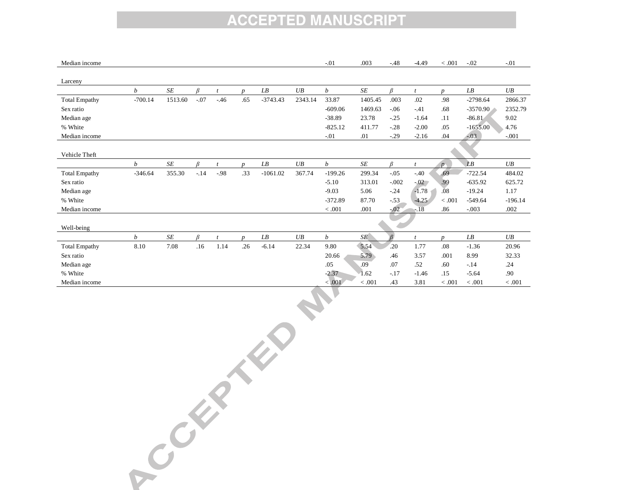| Median income        |                  |           |        |       |                  |            |         | $-.01$           | .003      | $-.48$  | $-4.49$          | < .001           | $-.02$                   | $-.01$    |
|----------------------|------------------|-----------|--------|-------|------------------|------------|---------|------------------|-----------|---------|------------------|------------------|--------------------------|-----------|
| Larceny              |                  |           |        |       |                  |            |         |                  |           |         |                  |                  |                          |           |
|                      | b                | SE        | B      |       | $\boldsymbol{D}$ | LB         | UB      | $\boldsymbol{b}$ | $\cal SE$ | R       |                  | $\boldsymbol{D}$ | $\mathcal{L}\mathcal{B}$ | UB        |
| <b>Total Empathy</b> | $-700.14$        | 1513.60   | $-.07$ | $-46$ | .65              | $-3743.43$ | 2343.14 | 33.87            | 1405.45   | .003    | .02              | .98              | $-2798.64$               | 2866.37   |
| Sex ratio            |                  |           |        |       |                  |            |         | $-609.06$        | 1469.63   | $-.06$  | $-41$            | .68              | $-3570.90$               | 2352.79   |
| Median age           |                  |           |        |       |                  |            |         | $-38.89$         | 23.78     | $-.25$  | $-1.64$          | .11              | $-86.81$                 | 9.02      |
| % White              |                  |           |        |       |                  |            |         | $-825.12$        | 411.77    | $-.28$  | $-2.00$          | .05              | $-1655.00$               | 4.76      |
| Median income        |                  |           |        |       |                  |            |         | $-01$            | .01       | $-.29$  | $-2.16$          | .04              | $-0.03$                  | $-.001$   |
|                      |                  |           |        |       |                  |            |         |                  |           |         |                  |                  |                          |           |
| Vehicle Theft        |                  |           |        |       |                  |            |         |                  |           |         |                  |                  |                          |           |
|                      | $\boldsymbol{b}$ | $\cal SE$ | B      |       | $\boldsymbol{n}$ | LB         | UB      | $\boldsymbol{b}$ | SE        | R       |                  | $\mathbf{p}$     | LB                       | UB        |
| <b>Total Empathy</b> | $-346.64$        | 355.30    | $-.14$ | $-98$ | .33              | $-1061.02$ | 367.74  | $-199.26$        | 299.34    | $-.05$  | $-40$            | .69              | $-722.54$                | 484.02    |
| Sex ratio            |                  |           |        |       |                  |            |         | $-5.10$          | 313.01    | $-.002$ | $-.02$           | .99              | $-635.92$                | 625.72    |
| Median age           |                  |           |        |       |                  |            |         | $-9.03$          | 5.06      | $-.24$  | $-1.78$          | .08              | $-19.24$                 | 1.17      |
| % White              |                  |           |        |       |                  |            |         | $-372.89$        | 87.70     | $-.53$  | $-4.25$          | < .001           | $-549.64$                | $-196.14$ |
| Median income        |                  |           |        |       |                  |            |         | < 0.001          | .001      | $-02$   | $-.18$           | .86              | $-.003$                  | .002      |
|                      |                  |           |        |       |                  |            |         |                  |           |         |                  |                  |                          |           |
| Well-being           |                  |           |        |       |                  |            |         |                  |           |         |                  |                  |                          |           |
|                      | b                | SE        | β      | t     | $\boldsymbol{n}$ | LB         | UB      | $\boldsymbol{b}$ | SE        |         | $\boldsymbol{t}$ | $\boldsymbol{n}$ | LB                       | UB        |
| <b>Total Empathy</b> | 8.10             | 7.08      | .16    | 1.14  | .26              | $-6.14$    | 22.34   | 9.80             | 5.54      | .20     | 1.77             | .08              | $-1.36$                  | 20.96     |
| Sex ratio            |                  |           |        |       |                  |            |         | 20.66            | 5.79      | .46     | 3.57             | .001             | 8.99                     | 32.33     |
| Median age           |                  |           |        |       |                  |            |         | .05              | .09       | .07     | .52              | .60              | $-.14$                   | .24       |
| % White              |                  |           |        |       |                  |            |         | $-2.37$          | 1.62      | $-.17$  | $-1.46$          | .15              | $-5.64$                  | .90       |
| Median income        |                  |           |        |       |                  |            |         | < 0.001          | < .001    | .43     | 3.81             | < .001           | < .001                   | < .001    |

Contractors of the